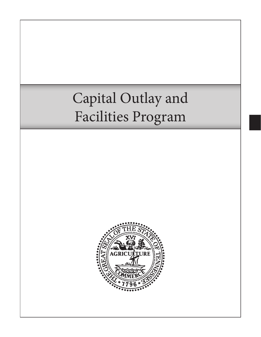# Capital Outlay and Facilities Program

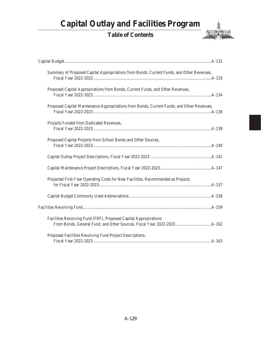# **Capital Outlay and Facilities Program**

# **Table of Contents**



| Summary of Proposed Capital Appropriations from Bonds, Current Funds, and Other Revenues,  |
|--------------------------------------------------------------------------------------------|
| Proposed Capital Appropriations from Bonds, Current Funds, and Other Revenues,             |
| Proposed Capital Maintenance Appropriations from Bonds, Current Funds, and Other Revenues, |
| Projects Funded from Dedicated Revenues,                                                   |
| Proposed Capital Projects from School Bonds and Other Sources,                             |
|                                                                                            |
|                                                                                            |
| Projected First-Year Operating Costs for New Facilities, Recommended as Projects           |
|                                                                                            |
|                                                                                            |
| Facilities Revolving Fund (FRF), Proposed Capital Appropriations                           |
| Proposed Facilities Revolving Fund Project Descriptions,                                   |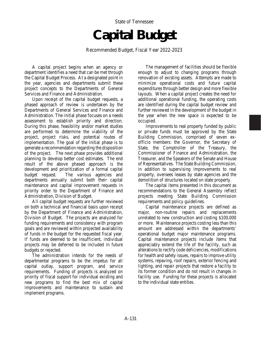State of Tennessee **Capital Budget**

Recommended Budget, Fiscal Year 2022-2023

A capital project begins when an agency or department identifies a need that can be met through the Capital Budget Process. At a designated point in the year, agencies and departments submit these project concepts to the Departments of General Services and Finance and Administration.

Upon receipt of the capital budget requests, a phased approach of review is undertaken by the Departments of General Services and Finance and Administration. The initial phase focuses on a needs assessment to establish priority and direction. During this phase, feasibility and/or market studies are performed to determine the viability of the project, project risks, and potential routes of implementation. The goal of the initial phase is to generate a recommendation regarding the disposition of the project. The next phase provides additional planning to develop better cost estimates. The end result of the above phased approach is the development and prioritization of a formal capital budget request. The various agencies and departments annually submit both their capital maintenance and capital improvement requests in priority order to the Department of Finance and Administration, Division of Budget.

All capital budget requests are further reviewed on both a technical and financial basis upon receipt by the Department of Finance and Administration, Division of Budget. The projects are analyzed for funding requirements and consistency with program goals and are reviewed within projected availability of funds in the budget for the requested fiscal year. If funds are deemed to be insufficient, individual projects may be deferred to be included in future budgets or rejected.

The administration intends for the needs of departmental programs to be the impetus for all capital outlay, support program, and service requirements. Funding of projects is analyzed on priority of fiscal support for individual existing and new programs to find the best mix of capital improvements and maintenance to sustain and implement programs.

The management of facilities should be flexible enough to adjust to changing programs through renovation of existing assets. Attempts are made to minimize operational costs and future capital expenditures through better design and more flexible layouts. When a capital project creates the need for additional operational funding, the operating costs are identified during the capital budget review and further reviewed in the development of the budget in the year when the new space is expected to be occupied.

Improvements to real property funded by public or private funds must be approved by the State Building Commission, comprised of seven exofficio members: the Governor, the Secretary of State, the Comptroller of the Treasury, the Commissioner of Finance and Administration, the Treasurer, and the Speakers of the Senate and House of Representatives. The State Building Commission, in addition to supervising improvements to real property, oversees leases by state agencies and the demolition of structures located on state property.

The capital items presented in this document as recommendations to the General Assembly reflect projects meeting State Building Commission requirements and policy guidelines.

Capital maintenance projects are defined as major, non-routine repairs and replacements unrelated to new construction and costing \$100,000 or more. Maintenance projects costing less than this amount are addressed within the departments' operational budget major maintenance programs. Capital maintenance projects include items that appreciably extend the life of the facility, such as alterations to rectify code deficiencies, modifications for health and safety issues, repairs to improve utility systems, repaving, roof repairs, exterior fencing and lighting, and repair projects that restore a facility to its former condition and do not result in changes in facility use. Funding for these projects is allocated to the individual state entities.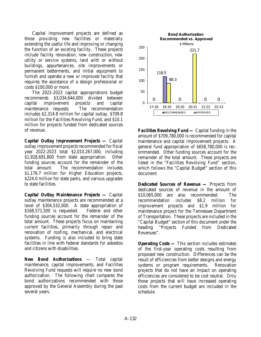Capital improvement projects are defined as those providing new facilities or materially extending the useful life and improving or changing the function of an existing facility. These projects include facility renovation, new construction, new utility or service systems, land with or without buildings, appurtenances, site improvements or permanent betterments, and initial equipment to furnish and operate a new or improved facility that requires the assistance of a design professional or costs \$100,000 or more.

The 2022-2023 capital appropriations budget recommends \$3,034,644,000 divided between capital improvement projects and capital maintenance requests. The recommendation includes \$2,314.8 million for capital outlay, \$709.8 million for the Facilities Revolving Fund, and \$10.1 million for projects funded from dedicated sources of revenue.

*Capital Outlay Improvement Projects —* Capital outlay improvement projects recommended for fiscal year 2022-2023 total \$2,010,267,000, including \$1,928,691,800 from state appropriation. Other funding sources account for the remainder of the total amount. The recommendation includes \$1,176.7 million for Higher Education projects, \$224.0 million for state parks, and various upgrades to state facilities.

*Capital Outlay Maintenance Projects —* Capital outlay maintenance projects are recommended at a level of \$304,532,000. A state appropriation of \$168,571,500 is requested. Federal and other funding sources account for the remainder of the total amount. These projects focus on maintaining current facilities, primarily through repair and renovation of roofing, mechanical, and electrical systems. Funding is also included to bring state facilities in line with federal standards for asbestos and citizens with disabilities.

*New Bond Authorizations* — Total capital maintenance, capital improvements, and Facilities Revolving Fund requests will require no new bond authorization. The following chart compares the bond authorizations recommended with those approved by the General Assembly during the past several years.



*Facilities Revolving Fund —* Capital funding in the amount of \$709,780,000 is recommended for capital maintenance and capital improvement projects. A general fund appropriation of \$658,780,000 is recommended. Other funding sources account for the remainder of the total amount. These projects are listed in the "Facilities Revolving Fund" section, which follows the "Capital Budget" section of this document.

*Dedicated Sources of Revenue —* Projects from dedicated sources of revenue in the amount of \$10,065,000 are also recommended. The recommendation includes \$8.2 million for improvement projects and \$1.9 million for maintenance project for the Tennessee Department of Transportation. These projects are included in the "Capital Budget" section of this document under the heading "Projects Funded from Dedicated Revenues".

*Operating Costs —* This section includes estimates of the first-year operating costs resulting from proposed new construction. Differences can be the result of efficiencies from better designs and energy systems or program requirements. Renovation projects that do not have an impact on operating efficiencies are considered to be cost neutral. Only those projects that will have increased operating costs from the current budget are included in the schedule.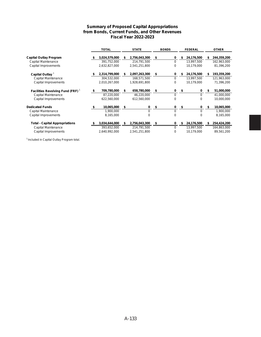#### **Summary of Proposed Capital Appropriations from Bonds, Current Funds, and Other Revenues Fiscal Year 2022-2023**

|                                              |    | <b>TOTAL</b>  |    | <b>STATE</b>  | <b>BONDS</b><br><b>FEDERAL</b> |    |            | <b>OTHER</b> |             |
|----------------------------------------------|----|---------------|----|---------------|--------------------------------|----|------------|--------------|-------------|
| <b>Capital Outlay Program</b>                |    | 3,024,579,000 |    | 2,756,043,300 | \$<br>0                        | S  | 24,176,500 | S            | 244,359,200 |
| Capital Maintenance                          |    | 391,752,000   |    | 214,791,500   | 0                              |    | 13,997,500 |              | 162,963,000 |
| Capital Improvements                         |    | 2,632,827,000 |    | 2,541,251,800 | 0                              |    | 10,179,000 |              | 81,396,200  |
| Capital Outlay <sup>1</sup>                  |    | 2,314,799,000 |    | 2,097,263,300 | \$<br>0                        | S  | 24,176,500 | S            | 193,359,200 |
| Capital Maintenance                          |    | 304,532,000   |    | 168,571,500   | 0                              |    | 13,997,500 |              | 121,963,000 |
| Capital Improvements                         |    | 2,010,267,000 |    | 1,928,691,800 | 0                              |    | 10,179,000 |              | 71,396,200  |
| Facilities Revolving Fund (FRF) <sup>1</sup> | \$ | 709,780,000   | S  | 658,780,000   | \$<br>0                        | \$ | 0          | 5            | 51,000,000  |
| Capital Maintenance                          |    | 87,220,000    |    | 46,220,000    | 0                              |    | $\Omega$   |              | 41,000,000  |
| Capital Improvements                         |    | 622,560,000   |    | 612,560,000   | 0                              |    | 0          |              | 10,000,000  |
| <b>Dedicated Funds</b>                       | S  | 10,065,000    | \$ | 0             | \$<br>0                        | \$ | 0          | \$           | 10,065,000  |
| Capital Maintenance                          |    | 1,900,000     |    | $\Omega$      | 0                              |    | $\Omega$   |              | 1,900,000   |
| Capital Improvements                         |    | 8,165,000     |    | $\Omega$      | 0                              |    | 0          |              | 8,165,000   |
| <b>Total - Capital Appropriations</b>        |    | 3,034,644,000 | \$ | 2,756,043,300 | \$<br>0                        | S  | 24,176,500 | S.           | 254,424,200 |
| Capital Maintenance                          |    | 393,652,000   |    | 214,791,500   | 0                              |    | 13,997,500 |              | 164,863,000 |
| Capital Improvements                         |    | 2,640,992,000 |    | 2,541,251,800 | 0                              |    | 10,179,000 |              | 89,561,200  |

<sup>1</sup> Included in Capital Outlay Program total.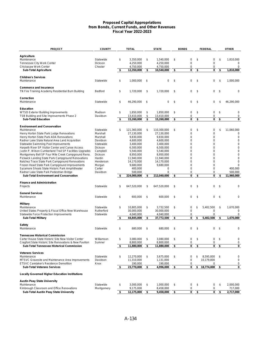#### **Proposed Capital Appropriations from Bonds, Current Funds, and Other Revenues Fiscal Year 2022-2023**

| <b>PROJECT</b>                                                                             | <b>COUNTY</b>        | <b>TOTAL</b>                  | <b>STATE</b>                  | <b>BONDS</b>     | <b>FEDERAL</b>   |      | <b>OTHER</b>     |
|--------------------------------------------------------------------------------------------|----------------------|-------------------------------|-------------------------------|------------------|------------------|------|------------------|
|                                                                                            |                      |                               |                               |                  |                  |      |                  |
| Agriculture                                                                                |                      |                               |                               |                  |                  |      |                  |
| Maintenance                                                                                | Statewide            | \$<br>3,350,000               | \$<br>1,540,000               | \$<br>0          | \$<br>0          | \$   | 1,810,000        |
| Tennessee City Work Center                                                                 | Dickson              | 4,250,000                     | 4.250.000                     | 0                | 0                |      | 0<br>0           |
| Chickasaw Work Center<br><b>Sub-Total Agriculture</b>                                      | Chester              | \$<br>4,750,000<br>12,350,000 | \$<br>4,750,000<br>10,540,000 | \$<br>0<br>0     | \$<br>0<br>0     | \$   | 1.810.000        |
|                                                                                            |                      |                               |                               |                  |                  |      |                  |
| <b>Children's Services</b>                                                                 |                      |                               |                               |                  |                  |      |                  |
| Maintenance                                                                                | Statewide            | \$<br>1,000,000               | \$<br>$\mathbf 0$             | \$<br>0          | \$<br>0          | \$   | 1,000,000        |
|                                                                                            |                      |                               |                               |                  |                  |      |                  |
| <b>Commerce and Insurance</b><br>TN Fire Training Academy Residential Burn Building        | Bedford              | \$<br>1,720,000               | \$<br>1.720.000               | \$<br>0          | \$<br>0          | \$   | $\Omega$         |
|                                                                                            |                      |                               |                               |                  |                  |      |                  |
| Correction                                                                                 |                      |                               |                               |                  |                  |      |                  |
| Maintenance                                                                                | Statewide            | \$<br>46,290,000              | \$<br>0                       | \$<br>0          | \$<br>$\Omega$   | \$   | 46,290,000       |
| Education                                                                                  |                      |                               |                               |                  |                  |      |                  |
| <b>WTSD Exterior Building Improvements</b>                                                 | Madison              | \$<br>1,850,000               | \$<br>1,850,000               | \$<br>0          | \$<br>0          | \$   | 0                |
| TSB Building and Site Improvements Phase 2                                                 | Davidson             | 13,410,000                    | \$<br>13,410,000              | 0                | 0                |      | $\pmb{0}$        |
| <b>Sub-Total Education</b>                                                                 |                      | \$<br>15,260,000              | \$<br>15,260,000              | \$<br>0          | \$<br>0          | - \$ | 0                |
|                                                                                            |                      |                               |                               |                  |                  |      |                  |
| <b>Environment and Conservation</b>                                                        |                      |                               |                               |                  |                  |      |                  |
| Maintenance                                                                                | Statewide            | \$<br>121,360,000             | \$<br>110,300,000             | \$<br>0          | \$<br>0          | \$   | 11,060,000       |
| Henry Horton State Park Lodge Renovations                                                  | Marshall             | 27.130.000                    | 27,130,000                    | $\mathbf 0$      | 0                |      | $\mathbf 0$      |
| Henry Horton State Park ADA Renovations<br>Radnor Lake State Natural Area Land Acquisition | Marshall<br>Davidson | 9,830,000<br>4.600.000        | 9,830,000<br>4,600,000        | 0<br>$\mathbf 0$ | 0<br>$\Omega$    |      | 0<br>$\mathbf 0$ |
| Statewide Swimming Pool Improvements                                                       | Statewide            | 3,400,000                     | 3,400,000                     | 0                | 0                |      | 0                |
| Harpeth River SP Visitor Center and Canoe Access                                           | Dickson              | 6,500,000                     | 6,500,000                     | $\mathbf 0$      | $\Omega$         |      | $\mathbf 0$      |
| Justin P. Wilson Cumberland Trail SP Facilities Upgrades                                   | Campbell             | 5,540,000                     | 5,540,000                     | 0                | 0                |      | $\mathbf 0$      |
| Montgomery Bell SP Four Mile Creek Campground Reno.                                        | Dickson              | 8,950,000                     | 8,950,000                     | $\mathbf 0$      | 0                |      | $\mathbf 0$      |
| Pickwick Landing State Park Campground Renovations                                         | Hardin               | 11,940,000                    | 11,940,000                    | 0                | 0                |      | 0                |
| Natchez Trace State Park Campground Renovations                                            | Henderson            | 14,170,000                    | 14,170,000                    | $\mathbf 0$      | 0                |      | $\mathbf 0$      |
| Frozen Head State Park Campground Improvements                                             | Morgan               | 9,680,000                     | 9,680,000                     | 0                | 0                |      | $\Omega$         |
| Sycamore Shoals State Historic Park Amphitheater                                           | Carter               | 400,000                       | $\mathbf 0$                   | $\mathbf 0$      | 0                |      | 400,000          |
| Radnor Lake State Park Pedestrian Bridge                                                   | Davidson             | 500,000                       | $\mathbf 0$                   | 0                | 0                |      | 500,000          |
| <b>Sub-Total Environment and Conservation</b>                                              |                      | \$<br>224,000,000             | \$<br>212,040,000             | \$<br>0          | \$<br>0          | \$   | 11,960,000       |
| <b>Finance and Administration</b>                                                          |                      |                               |                               |                  |                  |      |                  |
| Projects                                                                                   | Statewide            | \$<br>647,520,000             | \$<br>647,520,000             | \$<br>0          | \$<br>$\Omega$   | \$   | 0                |
|                                                                                            |                      |                               |                               |                  |                  |      |                  |
| <b>General Services</b>                                                                    |                      |                               |                               |                  |                  |      |                  |
| Maintenance                                                                                | Statewide            | \$<br>600,000                 | \$<br>600,000                 | \$<br>0          | \$<br>0          | \$   | $\mathbf 0$      |
| <b>Military</b>                                                                            |                      |                               |                               |                  |                  |      |                  |
| Maintenance                                                                                | Statewide            | \$<br>10,805,000              | \$<br>3,732,500               | \$<br>0          | \$<br>5,402,500  | \$   | 1,670,000        |
| United States Property & Fiscal Office New Warehouse                                       | Rutherford           | 30,000,000                    | 30,000,000                    | 0                | 0                |      | $\mathbf 0$      |
| Statewide Force Protection Improvements                                                    | Statewide            | 4.040.000                     | 4,040,000                     | 0                | 0                |      | 0                |
| <b>Sub-Total Military</b>                                                                  |                      | \$<br>44,845,000              | \$<br>37,772,500              | \$<br>0          | \$<br>5,402,500  | \$   | 1,670,000        |
|                                                                                            |                      |                               |                               |                  |                  |      |                  |
| <b>Safety</b>                                                                              |                      | 680.000                       |                               |                  |                  |      |                  |
| Maintenance                                                                                | Statewide            | \$                            | \$<br>680,000                 | \$<br>0          | \$<br>0          | \$   | 0                |
| <b>Tennessee Historical Commission</b>                                                     |                      |                               |                               |                  |                  |      |                  |
| Carter House State Historic Site New Visitor Center                                        | Williamson           | \$<br>3,080,000               | \$<br>3,080,000               | \$<br>0          | \$<br>0          | \$   | 0                |
| Cragfont State Historic Site Renovations & New Pavilion                                    | Sumner               | 8,800,000                     | 8,800,000                     | 0                | 0                |      | 0                |
| Sub-Total Tennessee Historical Commission                                                  |                      | \$<br>11,880,000              | \$<br>11,880,000              | \$<br>0          | \$<br>0          | \$   | 0                |
|                                                                                            |                      |                               |                               |                  |                  |      |                  |
| <b>Veterans Services</b><br>Maintenance                                                    | Statewide            | \$<br>12,270,000              | \$<br>3,675,000               | \$<br>0          | \$<br>8,595,000  | \$   | 0                |
| MTSVC Gravesite and Maintenance Area Improvements                                          | Davidson             | 11,310,000                    | 1,131,000                     | 0                | 10,179,000       |      | 0                |
| <b>ETSVC Caretaker's Residence Demolition</b>                                              | Knox                 | 190,000                       | 190,000                       | 0                | 0                |      | 0                |
| <b>Sub-Total Veterans Services</b>                                                         |                      | \$<br>23,770,000              | \$<br>4,996,000               | \$<br>0          | \$<br>18,774,000 | -\$  | 0                |
| <b>Locally Governed Higher Education Institutions</b>                                      |                      |                               |                               |                  |                  |      |                  |
|                                                                                            |                      |                               |                               |                  |                  |      |                  |
| <b>Austin Peay State University</b><br>Maintenance                                         | Statewide            | \$<br>3,000,000               | \$<br>1,000,000               | \$<br>0          | \$<br>0          | \$   | 2,000,000        |
| Kimbrough Classroom and Office Renovations                                                 | Montgomery           | 9,175,000                     | 8,458,000                     | 0                | 0                |      | 717,000          |
| Sub-Total Austin Peay State University                                                     |                      | \$<br>12,175,000              | \$<br>9,458,000               | \$<br>0          | \$<br>0          | \$   | 2,717,000        |
|                                                                                            |                      |                               |                               |                  |                  |      |                  |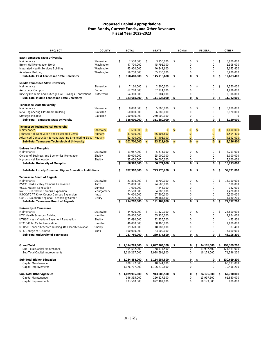#### **Proposed Capital Appropriations from Bonds, Current Funds, and Other Revenues Fiscal Year 2022-2023**

| <b>PROJECT</b>                                                        | <b>COUNTY</b>        |               | <b>TOTAL</b>              |                | <b>STATE</b>              | <b>BONDS</b>               | <b>FEDERAL</b>     |     | <b>OTHER</b>            |
|-----------------------------------------------------------------------|----------------------|---------------|---------------------------|----------------|---------------------------|----------------------------|--------------------|-----|-------------------------|
|                                                                       |                      |               |                           |                |                           |                            |                    |     |                         |
| <b>East Tennessee State University</b><br>Maintenance                 | Statewide            | \$            | 7.550.000                 | \$             | 3,750,000                 | \$<br>0                    | \$<br>0            | \$  | 3,800,000               |
| <b>Brown Hall Renovation North</b>                                    | Washington           |               | 47,700,000                |                | 45,792,000                | 0                          | $\mathbf 0$        |     | 1,908,000               |
| Integrated Health Services Building                                   | Washington           |               | 43,900,000                |                | 40,844,600                | $\mathbf 0$                | 0                  |     | 3,055,400               |
|                                                                       | Washington           |               |                           |                |                           | 0                          | 0                  |     | 3,920,000               |
| Academic Building<br><b>Sub-Total East Tennessee State University</b> |                      | \$            | 59,250,000<br>158,400,000 | \$             | 55,330,000<br>145,716,600 | \$<br>0                    | \$<br>0            | \$  | 12,683,400              |
|                                                                       |                      |               |                           |                |                           |                            |                    |     |                         |
| Middle Tennessee State University                                     |                      |               |                           |                |                           |                            |                    |     |                         |
| Maintenance                                                           | Statewide            | \$            | 7,160,000                 | \$             | 2,800,000                 | \$<br>$\mathbf 0$          | \$<br>0            | \$  | 4,360,000               |
| Aerospace Campus                                                      | Bedford              |               | 62,200,000                |                | 57,224,000                | 0                          | $\mathbf 0$        |     | 4,976,000               |
| Kirksey Old Main and Rutledge Hall Buildings Renovations              | Rutherford           |               | 54,300,000                |                | 51,904,000                | 0                          | 0                  |     | 2,396,000               |
| Sub-Total Middle Tennessee State University                           |                      | \$            | 123,660,000               | \$             | 111,928,000               | \$<br>0                    | \$<br>0            | \$  | 11,732,000              |
| <b>Tennessee State University</b>                                     |                      |               |                           |                |                           |                            |                    |     |                         |
| Maintenance                                                           | Statewide            | \$            | 8,000,000                 | \$             | 5,000,000                 | \$<br>$\mathbf 0$          | \$<br>0            | \$  | 3,000,000               |
| New Engineering Classroom Building                                    | Davidson             |               | 60,000,000                |                | 56,880,000                | $\mathbf 0$                | $\mathbf 0$        |     | 3,120,000               |
| Strategic Initiative                                                  | Davidson             |               | 250,000,000               |                | 250,000,000               | 0                          | $\mathbf 0$        |     | $\mathbf 0$             |
| <b>Sub-Total Tennessee State University</b>                           |                      | \$            | 318,000,000               | \$             | 311,880,000               | \$<br>0                    | \$<br>0            | \$  | 6,120,000               |
|                                                                       |                      |               |                           |                |                           |                            |                    |     |                         |
| <b>Tennessee Technological University</b>                             |                      |               |                           |                |                           |                            |                    |     |                         |
| Maintenance                                                           | <b>Statewide</b>     | $\mathsf{\$}$ | 1,690,000                 | $\mathfrak{s}$ | $\mathbf{0}$              | \$<br>$\mathbf{0}$         | \$<br>$\mathbf{0}$ | \$  | 1,690,000               |
| Johnson Hall Renovation and Foster Hall Demo                          | Putnam               |               | 37,610,000                |                | 36,105,600                | $\mathbf{0}$               | $\mathbf{0}$       |     | 1,504,400               |
| Advanced Construction & Manufacturing Engineering Bldg.               | Putnam               |               | 62,400,000                |                | 57,408,000                | $\mathbf{0}$               | 0                  |     | 4,992,000               |
| <b>Sub-Total Tennessee Technological University</b>                   |                      | \$.           | 101,700,000               | \$             | 93,513,600                | \$<br>$\bf{0}$             | \$<br>$\mathbf{0}$ | \$  | 8,186,400               |
|                                                                       |                      |               |                           |                |                           |                            |                    |     |                         |
| <b>University of Memphis</b>                                          |                      | \$            |                           | \$             |                           | \$<br>$\mathbf 0$          | \$<br>0            | \$  | 8.293.000               |
| Maintenance<br>College of Business and Economics Renovation           | Statewide            |               | 13,967,000                |                | 5,674,000                 | 0                          | 0                  |     |                         |
|                                                                       | Shelby               |               | 30,000,000                |                | 25,000,000                |                            |                    |     | 5,000,000               |
| Mynders Hall Renovation                                               | Shelby               | \$            | 25,000,000                |                | 20,000,000                | 0<br>0                     | \$<br>0<br>0       |     | 5,000,000<br>18,293,000 |
| <b>Sub-Total University of Memphis</b>                                |                      |               | 68,967,000                | \$             | 50,674,000                | \$                         |                    | \$  |                         |
| Sub-Total Locally Governed Higher Education Institutions              |                      | \$            | 782,902,000               | \$             | 723,170,200               | \$<br>0                    | \$<br>0            | \$  | 59,731,800              |
|                                                                       |                      |               |                           |                |                           |                            |                    |     |                         |
| <b>Tennessee Board of Regents</b>                                     |                      |               |                           |                |                           |                            |                    |     |                         |
| Maintenance                                                           | Statewide            | \$            | 21,890,000                | \$             | 8,700,000                 | \$<br>$\mathbf 0$          | \$<br>$\mathbf 0$  | \$  | 13,190,000              |
| PSCC Hardin Valley Campus Renovation<br><b>VSCC Mattox Renovation</b> | Knox                 |               | 25,000,000<br>7,600,000   |                | 24,500,000<br>7,448,000   | $\mathbf 0$<br>$\mathbf 0$ | 0<br>0             |     | 500,000<br>152,000      |
| NaSCC Clarksville Campus Expansion                                    | Sumner<br>Montgomery |               | 35,500,000                |                | 34,080,000                | $\mathbf 0$                | 0                  |     | 1,420,000               |
| RSCC/TCAT Knox County Campus Expansion                                | Knox                 |               | 74,000,000                |                | 67,500,000                | $\Omega$                   | 0                  |     | 6,500,000               |
| CoSCC Southern Regional Technology Center                             | Maury                |               | 50,212,000                |                | 49,181,800                | 0                          | 0                  |     | 1,030,200               |
| <b>Sub-Total Tennessee Board of Regents</b>                           |                      | \$            | 214,202,000               | \$             | 191,409,800               | \$<br>0                    | \$<br>0            | \$  | 22,792,200              |
|                                                                       |                      |               |                           |                |                           |                            |                    |     |                         |
| <b>University of Tennessee</b>                                        |                      |               |                           |                |                           |                            |                    |     |                         |
| Maintenance                                                           | Statewide            | \$            | 44,920,000                | \$             | 21,120,000                | \$<br>0                    | \$<br>0            | \$  | 23,800,000              |
| <b>UTC Health Sciences Building</b>                                   | Hamilton             |               | 60,800,000                |                | 55,936,000                | 0                          | $\mathbf 0$        |     | 4,864,000               |
| UTHSC Nash Vivarium Basement Renovation                               | Shelby               |               | 22,690,000                |                | 22,236,200                | 0                          | 0                  |     | 453,800                 |
| UTC 540 McCallie Renovation                                           | Hamilton             |               | 40,000,000                |                | 38,400,000                | 0                          | 0                  |     | 1,600,000               |
| UTHSC Cancer Research Building 4th Floor Renovation                   | Shelby               |               | 19,370,000                |                | 18,982,600                | 0                          | 0                  |     | 387,400                 |
| UTK College of Business                                               | Knox                 |               | 100,000,000               |                | 83,000,000                | 0                          | 0                  |     | 17,000,000              |
| <b>Sub-Total University of Tennessee</b>                              |                      | \$            | 287,780,000               | \$             | 239,674,800               | \$<br>0                    | \$<br>0            | \$  | 48,105,200              |
|                                                                       |                      |               |                           |                |                           |                            |                    |     |                         |
| <b>Grand Total</b>                                                    |                      |               | \$2,314,799,000           |                | \$2,097,263,300           | \$<br>0                    | \$<br>24,176,500   |     | \$193,359,200           |
| Sub-Total Capital Maintenance                                         |                      |               | 304,532,000               |                | 168,571,500               | 0                          | 13,997,500         |     | 121,963,000             |
| Sub-Total Capital Improvements                                        |                      |               | 2,010,267,000             |                | 1,928,691,800             | 0                          | 10,179,000         |     | 71,396,200              |
|                                                                       |                      |               |                           |                |                           |                            |                    |     |                         |
| <b>Sub-Total Higher Education</b>                                     |                      |               | \$1,284,884,000           | \$             | 1,154,254,800             | \$<br>0                    | \$<br>0            | -\$ | 130,629,200             |
| Capital Maintenance                                                   |                      |               | 108,177,000               |                | 48,044,000                | $\mathsf 0$                | $\mathbf 0$        |     | 60,133,000              |
| Capital Improvements                                                  |                      |               | 1,176,707,000             |                | 1,106,210,800             | 0                          | 0                  |     | 70,496,200              |
| <b>Sub-Total Other Agencies</b>                                       |                      | -S            | 1,029,915,000             | \$             | 943,008,500               | \$<br>0                    | \$24,176,500       | \$  | 62,730,000              |
| Capital Maintenance                                                   |                      |               | 196,355,000               |                | 120,527,500               | 0                          | 13,997,500         |     | 61,830,000              |
| Capital Improvements                                                  |                      |               | 833,560,000               |                | 822,481,000               | 0                          | 10,179,000         |     | 900,000                 |
|                                                                       |                      |               |                           |                |                           |                            |                    |     |                         |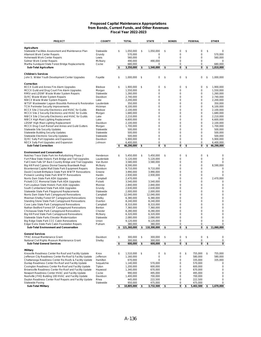#### **Proposed Capital Maintenance Appropriations from Bonds, Current Funds, and Other Revenues Fiscal Year 2022-2023**

| <b>PROJECT</b>                                                                                               | <b>COUNTY</b>       | <b>TOTAL</b>                | <b>STATE</b>               | <b>BONDS</b>      | FEDERAL                    | <b>OTHER</b>           |
|--------------------------------------------------------------------------------------------------------------|---------------------|-----------------------------|----------------------------|-------------------|----------------------------|------------------------|
|                                                                                                              |                     |                             |                            |                   |                            |                        |
| Agriculture                                                                                                  |                     |                             |                            |                   |                            |                        |
| Statewide Facilities Assessment and Maintenance Plan                                                         | Statewide           | \$<br>1,050,000             | \$<br>1.050.000            | \$<br>$\mathbf 0$ | \$<br>0                    | \$<br>0                |
| <b>Altamont Work Center Repairs</b>                                                                          | Grundy              | 570,000                     | 0                          | $\mathbf 0$       | $\pmb{0}$                  | 570,000                |
| Hohenwald Work Center Repairs                                                                                | Lewis               | 560,000                     | $\mathbf 0$<br>490.000     | 0<br>0            | 0                          | 560,000                |
| Selmer Work Center Repairs<br>Martha Sundquist State Forest Bridge Replacements                              | McNairy<br>Cocke    | 490,000<br>680,000          | 0                          | 0                 | 0<br>0                     | 0<br>680,000           |
| <b>Sub-Total Agriculture</b>                                                                                 |                     | \$<br>3,350,000             | \$<br>1,540,000            | \$<br>0           | \$<br>0                    | \$<br>1,810,000        |
|                                                                                                              |                     |                             |                            |                   |                            |                        |
| <b>Children's Services</b>                                                                                   |                     |                             |                            |                   |                            |                        |
| John S. Wilder Youth Development Center Upgrades                                                             | Fayette             | \$<br>1,000,000             | \$<br>0                    | \$<br>0           | \$<br>0                    | \$<br>1,000,000        |
| Correction                                                                                                   |                     |                             |                            |                   |                            |                        |
| BCCX Guild and Annex Fire Alarm Upgrades                                                                     | <b>Bledsoe</b>      | \$<br>1,900,000             | \$<br>0                    | \$<br>$\mathbf 0$ | \$<br>$\mathbf 0$          | \$<br>1,900,000        |
| MCCX Guild and Drug Court Fire Alarm Upgrades                                                                | Morgan              | 1,550,000                   | 0                          | $\mathbf 0$       | 0                          | 1,550,000              |
| RMSI and LDSNF Waste Water System Repairs                                                                    | Statewide           | 1,260,000                   | 0                          | $\mathbf 0$       | 0                          | 1,260,000              |
| DJRC Waste Water System Repairs                                                                              | Davidson            | 2,740,000                   | 0                          | $\mathbf 0$       | 0                          | 2,740,000              |
| <b>NWCX Waste Water System Repairs</b>                                                                       | Lake                | 2,200,000                   | 0                          | 0                 | 0                          | 2,200,000              |
| WTSP Wastewater Lagoon Biosolids Removal & Restoration                                                       | Lauderdale          | 350,000                     | 0                          | 0                 | $\mathbf 0$                | 350,000                |
| <b>TCIX Perimeter Security Improvements</b>                                                                  | Hickman             | 6,100,000                   | 0                          | $\mathbf 0$       | 0                          | 6,100,000              |
| BCCX Site 2 Security Electronics and HVAC for Guilds                                                         | Bledsoe             | 2,100,000                   | 0                          | $\mathbf 0$       | $\mathbf 0$                | 2,100,000              |
| MCCX Site 2 Security Electronics and HVAC for Guilds<br>NWCX Site 2 Security Electronics and HVAC for Guilds | Morgan<br>Lake      | 1,680,000<br>2,210,000      | 0<br>0                     | 0<br>0            | 0<br>0                     | 1,680,000<br>2,210,000 |
| NWCX High Mast Lighting Replacement                                                                          | Lake                | 6,600,000                   | 0                          | $\mathbf 0$       | 0                          | 6,600,000              |
| LDSNF High Mast Lighting Replacement                                                                         | Davidson            | 2,100,000                   | 0                          | 0                 | 0                          | 2,100,000              |
| MCCX Drug Court Reroof and Annex and Guild Gutters                                                           | Morgan              | 1,700,000                   | 0                          | 0                 | $\mathbf 0$                | 1,700,000              |
| <b>Statewide Site Security Updates</b>                                                                       | Statewide           | 500,000                     | 0                          | 0                 | $\mathbf 0$                | 500,000                |
| <b>Statewide Building Security Updates</b>                                                                   | Statewide           | 500.000                     | 0                          | $\mathbf 0$       | $\mathbf 0$                | 500,000                |
| <b>Statewide Electronic Security Updates</b>                                                                 | Statewide           | 500,000                     | 0                          | 0                 | $\mathbf 0$                | 500,000                |
| DJRC Sally Port Upgrades and Expansion                                                                       | Davidson            | 5,900,000                   | 0                          | $\Omega$          | $\mathbf 0$                | 5,900,000              |
| NECX Sally Port Upgrades and Expansion                                                                       | Johnson             | 6,400,000                   | 0                          | 0                 | 0                          | 6,400,000              |
| <b>Sub-Total Correction</b>                                                                                  |                     | \$<br>46,290,000            | \$<br>0                    | \$<br>0           | \$<br>0                    | \$<br>46,290,000       |
| <b>Environment and Conservation</b>                                                                          |                     |                             |                            |                   |                            |                        |
| Natchez Trace State Park Inn Refurbishing Phase 2                                                            | Henderson           | \$<br>5,450,000             | \$<br>5,450,000            | \$<br>$\mathbf 0$ | \$<br>$\pmb{0}$            | \$<br>0                |
| Fort Pillow State Historic Park Bridge and Trail Upgrades                                                    | Lauderdale          | 5,120,000                   | 5,120,000                  | $\mathbf 0$       | $\mathbf 0$                | 0                      |
| Fall Creek Falls SP Back Country Bridge and Trail Upgrades                                                   | Van Buren           | 3,580,000                   | 3,580,000                  | $\mathbf 0$       | 0                          | 0                      |
| Big Hill Pond Cypress Dismal Swamp Boardwalk Repl.                                                           | McNairy             | 8,590,000                   | 0                          | 0                 | $\mathbf 0$                | 8,590,000              |
| Bicentennial Capitol Mall State Park Equipment Repairs                                                       | Davidson            | 9,710,000                   | 9,710,000                  | $\mathbf 0$       | $\mathbf 0$                | 0                      |
| David Crockett Birthplace State Park WWTP Renovations                                                        | Greene              | 3,990,000                   | 3,990,000                  | 0                 | 0                          | 0                      |
| Pickwick Landing State Park WWTP Renovations                                                                 | Hardin              | 2,930,000                   | 2,930,000<br>0             | 0<br>$\mathbf 0$  | 0<br>$\pmb{0}$             | 0                      |
| Norris Dam State Park ADA Upgrades<br>Pickett CCC Memorial State Park ADA Upgrades                           | Campbell<br>Pickett | 2,470,000<br>3,540,000      | 3,540,000                  | 0                 | 0                          | 2,470,000<br>0         |
| Fort Loudoun State Historic Park ADA Upgrades                                                                | Monroe              | 2,840,000                   | 2,840,000                  | 0                 | $\mathbf 0$                | 0                      |
| South Cumberland State Park ADA Upgrades                                                                     | Grundy              | 2,630,000                   | 2,630,000                  | 0                 | 0                          | 0                      |
| Statewide State Park Playground Replacements                                                                 | Statewide           | 2,000,000                   | 2,000,000                  | 0                 | $\mathbf 0$                | 0                      |
| Norris Dam State Park Campground Renovations                                                                 | Campbell            | 12,040,000                  | 12,040,000                 | 0                 | 0                          | 0                      |
| Meeman-Shelby Forest SP Campground Renovations                                                               | Shelby              | 6,380,000                   | 6,380,000                  | 0                 | 0                          | 0                      |
| Standing Stone State Park Campground Renovations                                                             | Overton             | 8,240,000                   | 8,240,000                  | $\mathbf 0$       | 0                          | 0                      |
| Cove Lake State Park Campground Renovations                                                                  | Campbell            | 8,310,000                   | 8,310,000                  | 0<br>0            | 0                          | 0                      |
| Nathan Bedford Forrest SP Campground Renovations<br>Chickasaw State Park Campground Renovations              | Benton<br>Chester   | 7,360,000<br>8,280,000      | 7,360,000<br>8,280,000     | 0                 | 0<br>0                     | 0<br>0                 |
| Big Hill Pond State Park Campground Renovations                                                              | McNairy             | 6,320,000                   | 6,320,000                  | $\mathbf 0$       | $\pmb{0}$                  | 0                      |
| Statewide State Parks Elevator Modernization                                                                 | Statewide           | 2,080,000                   | 2,080,000                  | 0                 | 0                          | 0                      |
| Big Ridge State Park CCC Cabin Renovations                                                                   | Union               | 9,120,000                   | 9,120,000                  | 0                 | 0                          | 0                      |
| Edgar Evins State Park Cabin Foundation Repairs                                                              | Putnam              | 380,000                     | 380,000                    | 0                 | 0                          | 0                      |
| <b>Sub-Total Environment and Conservation</b>                                                                |                     | \$<br>121,360,000           | \$<br>110,300,000          | \$<br>0           | \$<br>0                    | \$<br>11,060,000       |
|                                                                                                              |                     |                             |                            |                   |                            |                        |
| <b>General Services</b><br><b>TPAC Annual Maintenance Grant</b>                                              | Davidson            | \$<br>300,000               | \$<br>300,000              | \$<br>0           | \$<br>$\pmb{0}$            | \$<br>0                |
| National Civil Rights Museum Maintenance Grant                                                               | Shelby              | 300,000                     | 300,000                    | 0                 | $\pmb{0}$                  | 0                      |
| <b>Sub-Total General Services</b>                                                                            |                     | \$<br>600,000               | \$<br>600,000              | \$<br>0           | \$<br>0                    | \$<br>0                |
|                                                                                                              |                     |                             |                            |                   |                            |                        |
| Military<br>Knoxville Readiness Center Re-Roof and Facility Update                                           | Knox                | \$<br>1,510,000             | \$<br>0                    | \$<br>0           | \$<br>755,000              | \$<br>755,000          |
| Jefferson City Readiness Center Re-Roof & Facility Update                                                    | Jefferson           | 1,160,000                   | 0                          | 0                 | 580,000                    | 580,000                |
| Chattanooga Readiness Center Re-Roofs & Facility Update                                                      | Hamilton            | 670,000                     | 0                          | 0                 | 335,000                    | 335,000                |
| Dunlap Readiness Center Re-Roof and Facility Update                                                          | Sequatchie          | 1,140,000                   | 570,000                    | 0                 | 570,000                    | 0                      |
| Covington Readiness Center Re-Roof and Facility Update                                                       | Tipton              | 1,200,000                   | 600,000                    | 0                 | 600,000                    | $\pmb{0}$              |
| Brownsville Readiness Center Re-Roof and Facility Update                                                     | Haywood             | 1,340,000                   | 670,000                    | 0                 | 670,000                    | 0                      |
| Newport Readiness Center HVAC and Facility Update                                                            | Cocke               | 990,000                     | 495,000                    | 0                 | 495,000                    | 0                      |
| Nashville JFHQ Building 100 HVAC and Facility Update                                                         | Davidson            | 1,400,000                   | 700,000                    | 0                 | 700,000                    | 0                      |
| Dayton Readiness Center Roof Repairs and Facility Update<br>Statewide Paving                                 | Rhea                | 445,000                     | 222,500                    | 0                 | 222,500                    | 0                      |
| <b>Sub-Total Military</b>                                                                                    | Statewide           | \$<br>950,000<br>10,805,000 | \$<br>475,000<br>3,732,500 | \$<br>0<br>0      | \$<br>475,000<br>5,402,500 | \$<br>0<br>1,670,000   |
|                                                                                                              |                     |                             |                            |                   |                            |                        |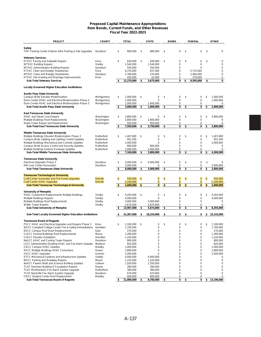#### **Proposed Capital Maintenance Appropriations from Bonds, Current Funds, and Other Revenues Fiscal Year 2022-2023**

| <b>PROJECT</b>                                                                             | <b>COUNTY</b>            |                | <b>TOTAL</b>           |                | <b>STATE</b>   | <b>BONDS</b>       |    | <b>FEDERAL</b> |                | <b>OTHER</b> |
|--------------------------------------------------------------------------------------------|--------------------------|----------------|------------------------|----------------|----------------|--------------------|----|----------------|----------------|--------------|
|                                                                                            |                          |                |                        |                |                |                    |    |                |                |              |
| Safety<br>THP Training Center Exterior ADA Parking & Site Upgrades                         | Davidson                 | \$             | 680.000                | \$             | 680,000        | \$<br>0            | \$ | 0              | \$             | $\mathbf 0$  |
| <b>Veterans Services</b>                                                                   |                          |                |                        |                |                |                    |    |                |                |              |
| <b>ETSVC Paving and Sidewalk Repairs</b>                                                   | Knox                     | \$             | 630.000                | \$             | 630.000        | \$<br>0            | \$ | 0              | \$             | $\mathbf 0$  |
| <b>WTSVC Building Repairs</b>                                                              | Shelby                   |                | 1,540,000              |                | 1.540.000      | 0                  |    | $\mathbf 0$    |                | $\mathbf 0$  |
| MTSVC Administration Building Repairs                                                      | Davidson                 |                | 550.000                |                | 550,000        | 0                  |    | 0              |                | $\mathbf 0$  |
| ETSVC Clean and Realign Headstones                                                         | Knox                     |                | 6,370,000              |                | 637,000        | 0                  |    | 5,733,000      |                | 0            |
| MTSVC Clean and Realign Headstones                                                         | Davidson                 |                | 2,760,000              |                | 276,000        | 0                  |    | 2,484,000      |                | 0            |
| ETSVC Site Grading and Drainage Improvements                                               | Knox                     |                | 420,000                |                | 42,000         | 0                  |    | 378,000        |                | 0            |
| <b>Sub-Total Veterans Services</b>                                                         |                          |                | 12,270,000             | \$             | 3,675,000      | \$<br>0            | \$ | 8,595,000      | \$             | 0            |
| <b>Locally Governed Higher Education Institutions</b>                                      |                          |                |                        |                |                |                    |    |                |                |              |
| <b>Austin Peay State University</b>                                                        |                          |                |                        |                |                |                    |    |                |                |              |
| Campus-Wide Elevator Modernization                                                         | Montgomery               | \$             | 1,000,000              | \$             | 0              | \$<br>0            | \$ | 0              | \$             | 1,000,000    |
| Dunn Center HVAC and Electrical Modernization Phase 2                                      | Montgomery               |                | 1,000,000              |                | $\Omega$       | 0                  |    | $\mathbf 0$    |                | 1,000,000    |
| Dunn Center HVAC and Electrical Modernization Phase 3                                      | Montgomery               |                | 1,000,000              |                | 1,000,000      | 0                  |    | 0              |                | 0            |
| Sub-Total Austin Peay State University                                                     |                          | \$             | 3,000,000              | \$             | 1,000,000      | \$<br>0            | \$ | 0              | \$             | 2,000,000    |
|                                                                                            |                          |                |                        |                |                |                    |    |                |                |              |
| <b>East Tennessee State University</b><br>HVAC and Steam Line Repairs                      |                          | \$             |                        | \$             | 0              | \$<br>0            | \$ | 0              | \$             | 3,800,000    |
| Multiple Buildings Roof Replacements                                                       | Washington<br>Washington |                | 3,800,000<br>2,800,000 |                | 2,800,000      | $\mathbf 0$        |    | $\mathbf 0$    |                | 0            |
| Radio Tower Repair and Replacement                                                         | Washington               |                | 950,000                |                | 950,000        | 0                  |    | 0              |                | $\mathbf 0$  |
| Sub-Total East Tennessee State University                                                  |                          | \$             | 7,550,000              | \$             | 3,750,000      | \$<br>0            | \$ | 0              | \$             | 3,800,000    |
|                                                                                            |                          |                |                        |                |                |                    |    |                |                |              |
| Middle Tennessee State University                                                          |                          |                |                        |                |                |                    |    |                |                |              |
| Multiple Buildings Elevator Modernization Phase 3                                          | Rutherford               | \$             | 1,407,800              | \$             | 0              | \$<br>0            | \$ | 0              | \$             | 1,407,800    |
| Campus-Wide Lighting and Lighting Control Updates                                          | Rutherford               |                | 952,200                |                | $\mathbf 0$    | $\mathbf 0$        |    | $\mathbf 0$    |                | 952,200      |
| Multiple Buildings Mechanical and Controls Updates                                         | Rutherford               |                | 2.000.000              |                | $\mathbf 0$    | $\mathbf 0$        |    | $\mathbf 0$    |                | 2,000,000    |
| Campus-Wide Access Control and Security Updates                                            | Rutherford               |                | 800,000                |                | 800.000        | $\mathbf 0$        |    | $\pmb{0}$      |                | $\mathbf 0$  |
| Multiple Buildings Exterior Envelope Updates                                               | Rutherford               |                | 2,000,000              |                | 2,000,000      | 0                  |    | 0              |                | $\mathbf 0$  |
| Sub-Total Middle Tennessee State University                                                |                          | \$             | 7,160,000              | \$             | 2,800,000      | \$<br>0            | \$ | 0              | \$             | 4,360,000    |
| <b>Tennessee State University</b>                                                          |                          |                |                        |                |                |                    |    |                |                |              |
| Electrical Upgrades Phase 3                                                                | Davidson                 | \$             | 5,000,000              | \$             | 5,000,000      | \$<br>0            | \$ | 0              | \$             | 0            |
| <b>HM Love Center Renovation</b>                                                           | Davidson                 |                | 3,000,000              |                | 0              | 0                  |    | 0              |                | 3,000,000    |
| <b>Sub-Total Tennessee State University</b>                                                |                          | S              | 8,000,000              | \$             | 5,000,000      | \$<br>0            | \$ | 0              | \$             | 3,000,000    |
|                                                                                            |                          |                |                        |                |                |                    |    |                |                |              |
| <b>Tennessee Technological University</b>                                                  |                          |                |                        |                |                |                    |    |                |                |              |
| <b>Craft Center Generator and Fire Pump Upgrades</b>                                       | <b>DeKalb</b>            | $\mathfrak{S}$ | 550,000                | $\mathfrak{s}$ | $\mathbf{0}$   | \$<br>$\mathbf{0}$ | \$ | $\mathbf{0}$   | $\mathfrak{S}$ | 550,000      |
| Craft Center HVAC Upgrades                                                                 | <b>DeKalb</b>            |                | 1,140,000              |                | $\overline{0}$ | $\mathbf{0}$       | \$ | $\overline{0}$ |                | 1,140,000    |
| <b>Sub-Total Tennessee Technological University</b>                                        |                          | \$             | 1,690,000              | $\frac{1}{2}$  | $\bf{0}$       | \$<br>$\bf{0}$     |    | $\bf{0}$       | <b>S</b>       | 1,690,000    |
| <b>University of Memphis</b>                                                               |                          |                |                        |                |                |                    |    |                |                |              |
| HVAC Component Replacements Multiple Buildings                                             | Shelby                   | \$             | 4,293,000              | \$             | $\mathbf 0$    | \$<br>0            | \$ | 0              | \$             | 4,293,000    |
| Multiple Buildings Repairs                                                                 | Shelby                   |                | 4,000,000              |                | $\mathbf 0$    | $\mathbf 0$        |    | $\mathbf 0$    |                | 4,000,000    |
| Multiple Buildings Roof Replacements                                                       | Shelby                   |                | 3,000,000              |                | 3,000,000      | 0                  |    | 0              |                | 0            |
| <b>Wilder Tower Repairs</b>                                                                | Shelby                   |                | 2,674,000              |                | 2,674,000      | 0                  |    | 0              |                | $\mathbf 0$  |
| Sub-Total University of Memphis                                                            |                          |                | 13,967,000             | s              | 5,674,000      | \$<br>0            | \$ | 0              | S              | 8,293,000    |
| Sub-Total Locally Governed Higher Education Institutions                                   |                          |                | 41,367,000             | \$             | 18,224,000     | \$<br>0            | s  | 0              | \$             | 23,143,000   |
|                                                                                            |                          |                |                        |                |                |                    |    |                |                |              |
| <b>Tennessee Board of Regents</b><br>PSCC HVAC and Electrical Upgrades and Repairs Phase 2 | Knox                     | \$             | 1,100,000              | \$             | 0              | \$<br>0            | \$ | 0              | \$             | 1.100.000    |
| WSCC Campbell College Center Fire & Safety Remediations                                    | Hamblen                  |                | 1,700,000              |                | $\mathbf 0$    | 0                  |    | $\mathbf 0$    |                | 1.700.000    |
| DSCC Campus Roof Drain Replacements                                                        |                          |                | 270,000                |                | 0              | 0                  |    | 0              |                | 270,000      |
| CoSCC Several Buildings Roof Replacements                                                  | Dyer<br>Maury            |                | 1,280,000              |                | 0              | 0                  |    | $\pmb{0}$      |                | 1,280,000    |
| <b>ChSCC Elevator Installation</b>                                                         | Hamilton                 |                | 1,220,000              |                | 0              | 0                  |    | 0              |                | 1,220,000    |
| NaSCC HVAC and Cooling Tower Repairs                                                       | Davidson                 |                | 800,000                |                | 0              | 0                  |    | 0              |                | 800,000      |
| JSCC Administration Building HVAC and Fire Alarm Updates                                   | Madison                  |                | 820,000                |                | 0              | 0                  |    | 0              |                | 820,000      |
| <b>CISCC Campus HVAC Updates</b>                                                           | <b>Bradley</b>           |                | 1,000,000              |                | 0              | 0                  |    | 0              |                | 1,000,000    |
| RSCC Multiple Buildings HVAC Corrections                                                   | Roane                    |                | 1,800,000              |                | $\pmb{0}$      | 0                  |    | 0              |                | 1,800,000    |
| VSCC HVAC Upgrades                                                                         | Sumner                   |                | 3,200,000              |                | 0              | 0                  |    | 0              |                | 3,200,000    |
| STCC Mechanical Systems and Infrastructure Updates                                         | Shelby                   |                | 4,000,000              |                | 4,000,000      | 0                  |    | 0              |                | 0            |
| <b>MSCC Parking and Roadway Repairs</b>                                                    | Moore                    |                | 1,220,000              |                | 1,220,000      | 0                  |    | 0              |                | $\mathbf 0$  |
| NeSCC Powers Math and Science Building Updates                                             | Sullivan                 |                | 1,550,000              |                | 1,550,000      | 0                  |    | 0              |                | $\mathbf 0$  |
| <b>TCAT Harriman Building D Foundation Repairs</b>                                         | Roane                    |                | 280,000                |                | 280,000        | 0                  |    | 0              |                | $\mathbf 0$  |
| TCAT Murfreesboro Fire Alarm System Upgrade                                                | Rutherford               |                | 380,000                |                | 380,000        | 0                  |    | 0              |                | 0            |
| TCAT Nashville Fire Alarm System Upgrade                                                   | Davidson                 |                | 670,000                |                | 670,000        | 0                  |    | 0              |                | 0            |
| <b>CISCC Student Center Roof Replacement</b>                                               | <b>Bradley</b>           |                | 600,000                |                | 600,000        | 0                  |    | 0              |                | 0            |
| Sub-Total Tennessee Board of Regents                                                       |                          | \$             | 21,890,000             |                | 8,700,000      | \$<br>0            | \$ | 0              | \$             | 13,190,000   |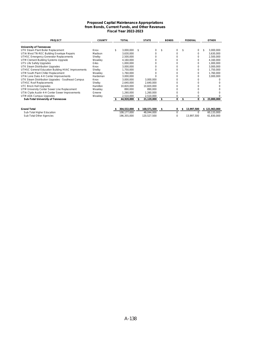#### **Proposed Capital Maintenance Appropriations from Bonds, Current Funds, and Other Revenues Fiscal Year 2022-2023**

| <b>PROJECT</b>                                     | <b>COUNTY</b> | <b>TOTAL</b>    |     | <b>STATE</b> |    | <b>BONDS</b> |   | <b>FEDERAL</b> | <b>OTHER</b>  |
|----------------------------------------------------|---------------|-----------------|-----|--------------|----|--------------|---|----------------|---------------|
| University of Tennessee                            |               |                 |     |              |    |              |   |                |               |
| UTK Steam Plant Boiler Replacement                 | Knox          | \$<br>3,000,000 | \$. |              |    |              |   | 0              | 3,000,000     |
| UTIA West TN-REC Building Envelope Repairs         | Madison       | 3,630,000       |     |              |    | 0            |   | 0              | 3,630,000     |
| UTHSC Emergency Generator Replacements             | Shelby        | 2,500,000       |     |              |    |              |   | U              | 2,500,000     |
| UTM Clement Building Systems Upgrade               | Weakley       | 4,160,000       |     |              |    |              |   |                | 4,160,000     |
| UTS Life Safety Upgrades                           | Giles         | 1,000,000       |     |              |    |              |   | n              | 1,000,000     |
| UTK Steam Distribution Upgrades                    | Knox          | 3,000,000       |     |              |    |              |   |                | 3,000,000     |
| UTHSC General Education Building HVAC Improvements | Shelby        | 1,750,000       |     |              |    |              |   |                | 1,750,000     |
| UTM South Plant Chiller Replacement                | Weakley       | 1,760,000       |     |              |    |              |   |                | 1,760,000     |
| UTIA Lone Oaks 4-H Center Improvements             | Hardeman      | 3,000,000       |     |              |    |              |   |                | 3,000,000     |
| UTK Steam Distribution Upgrades - Southeast Campus | Knox          | 3,000,000       |     | 3,000,000    |    |              |   |                |               |
| <b>UTHSC Roof Replacements</b>                     | Shelby        | 2,640,000       |     | 2,640,000    |    |              |   |                |               |
| <b>UTC Brock Hall Upgrades</b>                     | Hamilton      | 10,820,000      |     | 10,820,000   |    |              |   |                |               |
| UTM University Center Sewer Line Replacement       | Weakley       | 890,000         |     | 890,000      |    |              |   |                |               |
| UTIA Clyde Austin 4-H Center Sewer Improvements    | Greene        | 1,260,000       |     | 1,260,000    |    |              |   |                |               |
| UTM ADA Campus Upgrades                            | Weakley       | 2,510,000       |     | 2,510,000    |    |              |   |                |               |
| Sub-Total University of Tennessee                  |               | 44,920,000      | £.  | 21,120,000   | \$ | 0            |   | 0              | 23,800,000    |
| <b>Grand Total</b>                                 |               | 304,532,000     |     | 168,571,500  | s  | 0            | s | 13,997,500     | \$121,963,000 |
| Sub-Total Higher Education                         |               | 108,177,000     |     | 48,044,000   |    |              |   |                | 60,133,000    |
| Sub-Total Other Agencies                           |               | 196,355,000     |     | 120,527,500  |    | ი            |   | 13,997,500     | 61,830,000    |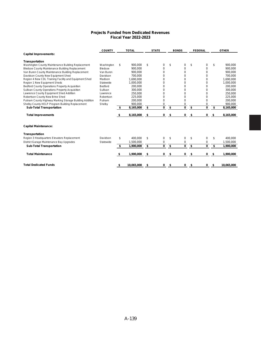#### **Projects Funded from Dedicated Revenues Fiscal Year 2022-2023**

|                                                         | <b>COUNTY</b> |     | <b>TOTAL</b> | <b>STATE</b> | <b>BONDS</b> | <b>FEDERAL</b> | <b>OTHER</b>     |
|---------------------------------------------------------|---------------|-----|--------------|--------------|--------------|----------------|------------------|
| <b>Capital Improvements:</b>                            |               |     |              |              |              |                |                  |
| Transportation                                          |               |     |              |              |              |                |                  |
| Washington County Maintenance Building Replacement      | Washington    | \$  | 900.000      | \$<br>0      | \$<br>0      | \$<br>0        | \$<br>900.000    |
| Bledsoe County Maintenance Building Replacement         | Bledsoe       |     | 900,000      | 0            | 0            | 0              | 900,000          |
| Van Buren County Maintenance Building Replacement       | Van Buren     |     | 900,000      | 0            | 0            | $\mathbf 0$    | 900,000          |
| Davidson County New Equipment Shed                      | Davidson      |     | 700.000      | 0            | 0            | 0              | 700.000          |
| Region 4 New CDL Training Facility and Equipment Shed   | Madison       |     | 1,690,000    | 0            | 0            | $\mathbf 0$    | 1,690,000        |
| Region 1 New Equipment Sheds                            | Statewide     |     | 1,000,000    | 0            | 0            | 0              | 1,000,000        |
| <b>Bedford County Operations Property Acquisition</b>   | Bedford       |     | 200,000      | 0            | 0            | 0              | 200,000          |
| Sullivan County Operations Property Acquisition         | Sullivan      |     | 300.000      | 0            | 0            | 0              | 300,000          |
| Lawrence County Equipment Shed Addition                 | Lawrence      |     | 250,000      | 0            | 0            | 0              | 250,000          |
| Robertson County New Brine Shed                         | Robertson     |     | 225,000      | 0            | 0            | 0              | 225,000          |
| Putnam County Highway Marking Storage Building Addition | Putnam        |     | 200,000      | 0            | 0            | 0              | 200,000          |
| Shelby County HELP Program Building Replacement         | Shelby        |     | 900,000      | 0            | 0            | 0              | 900,000          |
| <b>Sub-Total Transportation</b>                         |               | -\$ | 8,165,000    | \$<br>0      | \$<br>0      | \$<br>0        | \$<br>8,165,000  |
| <b>Total Improvements</b>                               |               | S   | 8,165,000    | \$<br>0      | \$<br>0      | \$<br>0        | \$<br>8,165,000  |
| <b>Capital Maintenance:</b>                             |               |     |              |              |              |                |                  |
| Transportation                                          |               |     |              |              |              |                |                  |
| Region 3 Headquarters Elevators Replacement             | Davidson      | \$  | 400,000      | \$<br>0      | \$<br>0      | \$<br>0        | \$<br>400,000    |
| District Garage Maintenance Bay Upgrades                | Statewide     |     | 1,500,000    | 0            | 0            | 0              | 1,500,000        |
| <b>Sub-Total Transportation</b>                         |               | \$  | 1,900,000    | \$<br>0      | \$<br>0      | \$<br>0        | \$<br>1,900,000  |
| <b>Total Maintenance</b>                                |               | S   | 1,900,000    | \$<br>0      | \$<br>0      | \$<br>0        | \$<br>1,900,000  |
|                                                         |               |     |              |              |              |                |                  |
| <b>Total Dedicated Funds</b>                            |               | \$  | 10,065,000   | \$<br>0      | \$<br>0      | \$<br>0        | \$<br>10,065,000 |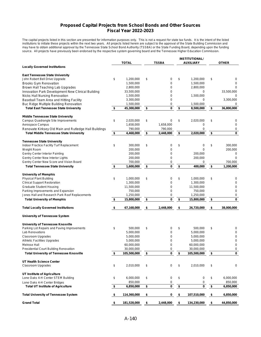#### **Proposed Capital Projects from School Bonds and Other Sources Fiscal Year 2022-2023**

The capital projects listed in this section are presented for information purposes only. This is not a request for state tax funds. It is the intent of the listed institutions to initiate these projects within the next two years. All projects listed herein are subject to the approval of the State Building Commission and may have to obtain additional approval by the Tennessee State School Bond Authority (TSSBA) or the State Funding Board, depending upon the funding source. All projects have previously been endorsed by the respective system governing board and the Tennessee Higher Education Commission.

|                                                                                 |                   |                 |           | <b>INSTITUTIONAL/</b> |                  |
|---------------------------------------------------------------------------------|-------------------|-----------------|-----------|-----------------------|------------------|
|                                                                                 | <b>TOTAL</b>      | <b>TSSBA</b>    |           | <b>AUXILIARY</b>      | <b>OTHER</b>     |
| <b>Locally Governed Institutions</b>                                            |                   |                 |           |                       |                  |
| <b>East Tennessee State University</b>                                          |                   |                 |           |                       |                  |
| John Robert Bell Drive Upgrade                                                  | \$<br>1,200,000   | \$<br>0         | \$        | 1,200,000             | \$<br>0          |
| <b>Brooks Gym Renovation</b>                                                    | 1,500,000         | 0               |           | 1,500,000             | 0                |
| Brown Hall Teaching Lab Upgrades                                                | 2,800,000         | 0               |           | 2,800,000             | 0                |
| Innovation Park Development New Clinical Building                               | 33,500,000        | 0               |           | 0                     | 33,500,000       |
| Nicks Hall Nursing Renovation                                                   | 1,500,000         | 0               |           | 1,500,000             | 0                |
| Baseball Team Area and Hitting Facility                                         | 3,300,000         | 0               |           | 0                     | 3,300,000        |
| Buc Ridge Multiple Building Renovation                                          | 1,500,000         | 0               |           | 1,500,000             | 0                |
| <b>Total East Tennessee State University</b>                                    | \$<br>45,300,000  | \$<br>0         | \$        | 8,500,000             | \$<br>36,800,000 |
|                                                                                 |                   |                 |           |                       |                  |
| <b>Middle Tennessee State University</b><br>Campus Quadrangle Site Improvements | \$<br>2,020,000   | \$<br>0         | \$        | 2,020,000             | \$<br>0          |
| Aerospace Campus                                                                | 1,658,000         | 1,658,000       |           | 0                     | $\mathbf 0$      |
| Renovate Kirksey Old Main and Rutledge Hall Buildings                           | 790,000           | 790,000         |           | 0                     | 0                |
|                                                                                 |                   | \$              | \$        | 2,020,000             | \$               |
| <b>Total Middle Tennessee State University</b>                                  | \$<br>4,468,000   | 2,448,000       |           |                       | 0                |
| <b>Tennessee State University</b>                                               |                   |                 |           |                       |                  |
| Indoor Practice Facility Turf Replacement                                       | \$<br>300,000     | \$<br>0         | \$        | 0                     | \$<br>300,000    |
| Weight Room                                                                     | 200,000           | 0               |           | $\Omega$              | 200,000          |
| Gentry Center Interior Painting                                                 | 200,000           | 0               |           | 200,000               | 0                |
| Gentry Center New Interior Lights                                               | 200,000           | 0               |           | 200,000               | $\Omega$         |
| Gentry Center New Score and Vision Board                                        | 700,000           | 0               |           | 0                     | 700,000          |
| <b>Total Tennessee State University</b>                                         | \$<br>1,600,000   | \$<br>0         | \$        | 400,000               | \$<br>1,200,000  |
|                                                                                 |                   |                 |           |                       |                  |
| <b>University of Memphis</b>                                                    |                   |                 |           |                       |                  |
| <b>Physical Plant Building</b>                                                  | \$<br>1,000,000   | \$<br>0         | \$        | 1,000,000             | \$<br>0          |
| <b>Clinical Support Restoration</b>                                             | 1,300,000         | 0               |           | 1,300,000             | 0                |
| <b>Graduate Student Housing</b>                                                 | 11,500,000        | 0               |           | 11,500,000            | 0                |
| Parking Improvements and Expansion                                              | 750,000           | 0               |           | 750,000               | 0                |
| Jones Hall and Research Park Roof Replacements                                  | 1,250,000         | 0               |           | 1,250,000             | 0                |
| <b>Total University of Memphis</b>                                              | \$<br>15,800,000  | \$<br>0         | \$        | 15,800,000            | \$<br>0          |
| <b>Total Locally Governed Institutions</b>                                      | \$<br>67,168,000  | \$<br>2,448,000 | \$        | 26,720,000            | \$<br>38,000,000 |
| University of Tennessee System                                                  |                   |                 |           |                       |                  |
| University of Tennessee Knoxville                                               |                   |                 |           |                       |                  |
| Parking Lot Repairs and Paving Improvements                                     | \$<br>500,000     | \$<br>0         | \$        | 500,000               | \$<br>0          |
| Lab Renovations                                                                 | 5,000,000         | 0               |           | 5,000,000             | 0                |
| Classroom Upgrades                                                              | 5,000,000         | 0               |           | 5,000,000             | 0                |
| <b>Athletic Facilities Upgrades</b>                                             | 5,000,000         | 0               |           | 5,000,000             | 0                |
| Melrose Hall                                                                    | 60,000,000        | 0               |           | 60,000,000            | 0                |
| Presidential Court Building Renovation                                          | 30,000,000        | 0               |           | 30,000,000            | 0                |
| <b>Total University of Tennessee Knoxville</b>                                  | \$<br>105,500,000 | \$<br>0         | \$        | 105,500,000           | \$<br>0          |
|                                                                                 |                   |                 |           |                       |                  |
| UT Health Science Center                                                        |                   |                 |           |                       |                  |
| Classroom Upgrades                                                              | \$<br>2,010,000   | \$<br>0         | \$        | 2,010,000             | \$<br>0          |
| UT Institute of Agriculture                                                     |                   |                 |           |                       |                  |
| Lone Oaks 4-H Center STEM Building                                              | \$<br>6,000,000   | \$<br>0         | \$        | 0                     | \$<br>6,000,000  |
| Lone Oaks 4-H Center Bridges                                                    | 850,000           | 0               |           | 0                     | 850,000          |
| <b>Total UT Institute of Agriculture</b>                                        | \$<br>6,850,000   | \$<br>0         | $\bullet$ | 0                     | \$<br>6,850,000  |
| <b>Total University of Tennessee System</b>                                     | \$<br>114,360,000 | \$<br>0         | \$        | 107,510,000           | \$<br>6,850,000  |
|                                                                                 |                   |                 |           |                       |                  |
| <b>Grand Total</b>                                                              | \$<br>181,528,000 | \$<br>2,448,000 | \$        | 134,230,000           | \$<br>44,850,000 |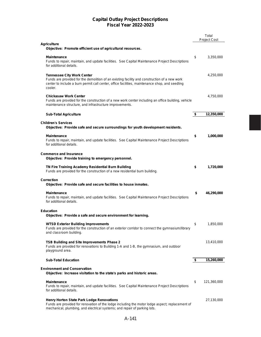|                                                                                                                                                                                                                                                | Total<br><b>Project Cost</b> |
|------------------------------------------------------------------------------------------------------------------------------------------------------------------------------------------------------------------------------------------------|------------------------------|
| <b>Agriculture</b>                                                                                                                                                                                                                             |                              |
| Objective: Promote efficient use of agricultural resources.                                                                                                                                                                                    |                              |
| <b>Maintenance</b><br>Funds to repair, maintain, and update facilities. See Capital Maintenance Project Descriptions<br>for additional details.                                                                                                | \$<br>3,350,000              |
| <b>Tennessee City Work Center</b><br>Funds are provided for the demolition of an existing facility and construction of a new work<br>center to include a burn permit call center, office facilities, maintenance shop, and seedling<br>cooler. | 4,250,000                    |
| <b>Chickasaw Work Center</b><br>Funds are provided for the construction of a new work center including an office building, vehicle<br>maintenance structure, and infrastructure improvements.                                                  | 4,750,000                    |
| <b>Sub-Total Agriculture</b>                                                                                                                                                                                                                   | \$<br>12,350,000             |
| <b>Children's Services</b><br>Objective: Provide safe and secure surroundings for youth development residents.<br><b>Maintenance</b>                                                                                                           | \$<br>1,000,000              |
| Funds to repair, maintain, and update facilities. See Capital Maintenance Project Descriptions<br>for additional details.                                                                                                                      |                              |
| <b>Commerce and Insurance</b><br>Objective: Provide training to emergency personnel.                                                                                                                                                           |                              |
| TN Fire Training Academy Residential Burn Building<br>Funds are provided for the construction of a new residential burn building.                                                                                                              | \$<br>1,720,000              |
| <b>Correction</b><br>Objective: Provide safe and secure facilities to house inmates.                                                                                                                                                           |                              |
| <b>Maintenance</b><br>Funds to repair, maintain, and update facilities. See Capital Maintenance Project Descriptions<br>for additional details.                                                                                                | \$<br>46,290,000             |
| <b>Education</b><br>Objective: Provide a safe and secure environment for learning.                                                                                                                                                             |                              |
| <b>WTSD Exterior Building Improvements</b><br>Funds are provided for the construction of an exterior corridor to connect the gymnasium/library<br>and classroom building.                                                                      | \$<br>1,850,000              |
| TSB Building and Site Improvements Phase 2<br>Funds are provided for renovations to Building 1-A and 1-B, the gymnasium, and outdoor<br>playground area.                                                                                       | 13,410,000                   |
| <b>Sub-Total Education</b>                                                                                                                                                                                                                     | \$<br>15,260,000             |
| <b>Environment and Conservation</b><br>Objective: Increase visitation to the state's parks and historic areas.                                                                                                                                 |                              |
| <b>Maintenance</b><br>Funds to repair, maintain, and update facilities. See Capital Maintenance Project Descriptions<br>for additional details.                                                                                                | \$<br>121,360,000            |
| <b>Henry Horton State Park Lodge Renovations</b><br>Funds are provided for renovation of the lodge including the motor lodge aspect; replacement of<br>mechanical, plumbing, and electrical systems; and repair of parking lots.               | 27,130,000                   |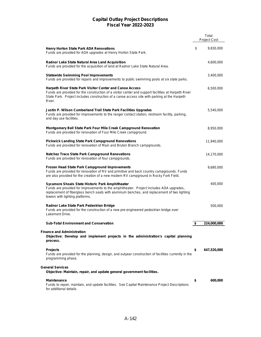|                                                                                                                                                                                                                                                                                | Total<br><b>Project Cost</b> |
|--------------------------------------------------------------------------------------------------------------------------------------------------------------------------------------------------------------------------------------------------------------------------------|------------------------------|
| <b>Henry Horton State Park ADA Renovations</b><br>Funds are provided for ADA upgrades at Henry Horton State Park.                                                                                                                                                              | \$<br>9,830,000              |
| Radnor Lake State Natural Area Land Acquisition<br>Funds are provided for the acquisition of land at Radnor Lake State Natural Area.                                                                                                                                           | 4,600,000                    |
| <b>Statewide Swimming Pool Improvements</b><br>Funds are provided for repairs and improvements to public swimming pools at six state parks.                                                                                                                                    | 3,400,000                    |
| Harpeth River State Park Visitor Center and Canoe Access<br>Funds are provided for the construction of a visitor center and support facilities at Harpeth River<br>State Park. Project includes construction of a canoe access site with parking at the Harpeth<br>River.      | 6,500,000                    |
| Justin P. Wilson Cumberland Trail State Park Facilities Upgrades<br>Funds are provided for improvements to the ranger contact station, restroom facility, parking,<br>and day use facilities.                                                                                  | 5,540,000                    |
| Montgomery Bell State Park Four Mile Creek Campground Renovation<br>Funds are provided for renovation of Four Mile Creek campground.                                                                                                                                           | 8,950,000                    |
| <b>Pickwick Landing State Park Campground Renovations</b><br>Funds are provided for renovation of Main and Bruton Branch campgrounds.                                                                                                                                          | 11,940,000                   |
| <b>Natchez Trace State Park Campground Renovations</b><br>Funds are provided for renovation of four campgrounds.                                                                                                                                                               | 14,170,000                   |
| Frozen Head State Park Campground Improvements<br>Funds are provided for renovation of RV and primitive and back country campgrounds. Funds<br>are also provided for the creation of a new modern RV campground in Rocky Fork Field.                                           | 9,680,000                    |
| Sycamore Shoals State Historic Park Amphitheater<br>Funds are provided for improvements to the amphitheater. Project includes ADA upgrades,<br>replacement of fiberglass bench seats with aluminum benches, and replacement of two lighting<br>towers with lighting platforms. | 400,000                      |
| Radnor Lake State Park Pedestrian Bridge<br>Funds are provided for the construction of a new pre-engineered pedestrian bridge over<br>Lakemont Drive.                                                                                                                          | 500,000                      |
| <b>Sub-Total Environment and Conservation</b>                                                                                                                                                                                                                                  | \$<br>224,000,000            |
| <b>Finance and Administration</b><br>Objective: Develop and implement projects in the administration's capital planning<br>process.                                                                                                                                            |                              |
| <b>Projects</b><br>Funds are provided for the planning, design, and outyear construction of facilities currently in the<br>programming phase.                                                                                                                                  | \$<br>647,520,000            |
| <b>General Services</b><br>Objective: Maintain, repair, and update general government facilities.                                                                                                                                                                              |                              |
| <b>Maintenance</b><br>Funds to repair, maintain, and update facilities. See Capital Maintenance Project Descriptions<br>for additional details.                                                                                                                                | \$<br>600,000                |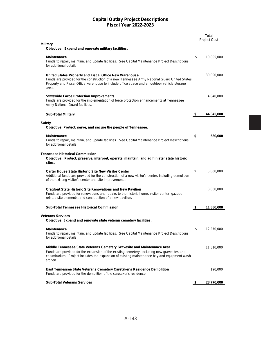|                                                                                                                                                                                                                                                                                  | Total<br><b>Project Cost</b> |
|----------------------------------------------------------------------------------------------------------------------------------------------------------------------------------------------------------------------------------------------------------------------------------|------------------------------|
| <b>Military</b><br>Objective: Expand and renovate military facilities.                                                                                                                                                                                                           |                              |
| <b>Maintenance</b><br>Funds to repair, maintain, and update facilities. See Capital Maintenance Project Descriptions<br>for additional details.                                                                                                                                  | \$<br>10,805,000             |
| United States Property and Fiscal Office New Warehouse<br>Funds are provided for the construction of a new Tennessee Army National Guard United States<br>Property and Fiscal Office warehouse to include office space and an outdoor vehicle storage<br>area.                   | 30,000,000                   |
| <b>Statewide Force Protection Improvements</b><br>Funds are provided for the implementation of force protection enhancements at Tennessee<br>Army National Guard facilities.                                                                                                     | 4,040,000                    |
| <b>Sub-Total Military</b>                                                                                                                                                                                                                                                        | \$<br>44,845,000             |
| <b>Safety</b><br>Objective: Protect, serve, and secure the people of Tennessee.                                                                                                                                                                                                  |                              |
| <b>Maintenance</b><br>Funds to repair, maintain, and update facilities. See Capital Maintenance Project Descriptions<br>for additional details.                                                                                                                                  | \$<br>680,000                |
| <b>Tennessee Historical Commission</b><br>Objective: Protect, preserve, interpret, operate, maintain, and administer state historic<br>sites.                                                                                                                                    |                              |
| <b>Carter House State Historic Site New Visitor Center</b><br>Additional funds are provided for the construction of a new visitor's center, including demolition<br>of the existing visitor's center and site improvements.                                                      | \$<br>3,080,000              |
| <b>Cragfont State Historic Site Renovations and New Pavilion</b><br>Funds are provided for renovations and repairs to the historic home, visitor center, gazebo,<br>related site elements, and construction of a new pavilion.                                                   | 8,800,000                    |
| <b>Sub-Total Tennessee Historical Commission</b>                                                                                                                                                                                                                                 | \$<br>11,880,000             |
| <b>Veterans Services</b><br>Objective: Expand and renovate state veteran cemetery facilities.                                                                                                                                                                                    |                              |
| Maintenance<br>Funds to repair, maintain, and update facilities. See Capital Maintenance Project Descriptions<br>for additional details.                                                                                                                                         | \$<br>12,270,000             |
| Middle Tennessee State Veterans Cemetery Gravesite and Maintenance Area<br>Funds are provided for the expansion of the existing cemetery, including new gravesites and<br>columbarium. Project includes the expansion of existing maintenance bay and equipment wash<br>station. | 11,310,000                   |
| East Tennessee State Veterans Cemetery Caretaker's Residence Demolition<br>Funds are provided for the demolition of the caretaker's residence.                                                                                                                                   | 190,000                      |
| <b>Sub-Total Veterans Services</b>                                                                                                                                                                                                                                               | \$<br>23,770,000             |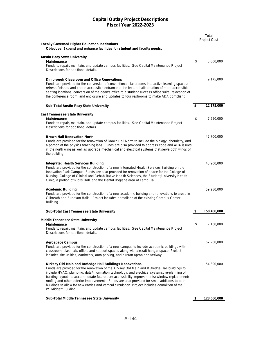|                                                                                                                                                                                                                                                                                                                                                                                                                                                                                                                                                                                      |     | Total<br><b>Project Cost</b> |
|--------------------------------------------------------------------------------------------------------------------------------------------------------------------------------------------------------------------------------------------------------------------------------------------------------------------------------------------------------------------------------------------------------------------------------------------------------------------------------------------------------------------------------------------------------------------------------------|-----|------------------------------|
| <b>Locally Governed Higher Education Institutions</b><br>Objective: Expand and enhance facilities for student and faculty needs.                                                                                                                                                                                                                                                                                                                                                                                                                                                     |     |                              |
| <b>Austin Peay State University</b><br><b>Maintenance</b>                                                                                                                                                                                                                                                                                                                                                                                                                                                                                                                            | \$  | 3,000,000                    |
| Funds to repair, maintain, and update campus facilities. See Capital Maintenance Project<br>Descriptions for additional details.                                                                                                                                                                                                                                                                                                                                                                                                                                                     |     |                              |
| Kimbrough Classroom and Office Renovations<br>Funds are provided for the conversion of conventional classrooms into active learning spaces;<br>refresh finishes and create accessible entrance to the lecture hall; creation of more accessible<br>seating locations: conversion of the dean's office to a student success office suite: relocation of<br>the conference room; and enclosure and updates to four restrooms to make ADA compliant.                                                                                                                                    |     | 9,175,000                    |
| <b>Sub-Total Austin Peay State University</b>                                                                                                                                                                                                                                                                                                                                                                                                                                                                                                                                        | \$  | 12,175,000                   |
| <b>East Tennessee State University</b><br><b>Maintenance</b><br>Funds to repair, maintain, and update campus facilities. See Capital Maintenance Project<br>Descriptions for additional details.                                                                                                                                                                                                                                                                                                                                                                                     | \$  | 7,550,000                    |
| <b>Brown Hall Renovation North</b><br>Funds are provided for the renovation of Brown Hall North to include the biology, chemistry, and<br>a portion of the physics teaching labs. Funds are also provided to address code and ADA issues<br>in the north wing as well as upgrade mechanical and electrical systems that serve both wings of<br>the building.                                                                                                                                                                                                                         |     | 47,700,000                   |
| Integrated Health Services Building<br>Funds are provided for the construction of a new Integrated Health Services Building on the<br>Innovation Park Campus. Funds are also provided for renovation of space for the College of<br>Nursing, College of Clinical and Rehabilitative Health Sciences, the Student/University Health<br>Clinic, a portion of Nicks Hall, and the Dental Hygiene area of Lamb Hall.                                                                                                                                                                     |     | 43,900,000                   |
| <b>Academic Building</b><br>Funds are provided for the construction of a new academic building and renovations to areas in<br>Gilbreath and Burleson Halls. Project includes demolition of the existing Campus Center<br>Building.                                                                                                                                                                                                                                                                                                                                                   |     | 59,250,000                   |
| <b>Sub-Total East Tennessee State University</b>                                                                                                                                                                                                                                                                                                                                                                                                                                                                                                                                     | \$  | 158,400,000                  |
| <b>Middle Tennessee State University</b><br>Maintenance<br>Funds to repair, maintain, and update campus facilities. See Capital Maintenance Project<br>Descriptions for additional details.                                                                                                                                                                                                                                                                                                                                                                                          | \$. | 7,160,000                    |
| <b>Aerospace Campus</b><br>Funds are provided for the construction of a new campus to include academic buildings with<br>classroom, class-lab, office, and support spaces along with aircraft hangar space. Project<br>includes site utilities, earthwork, auto parking, and aircraft apron and taxiway.                                                                                                                                                                                                                                                                             |     | 62,200,000                   |
| Kirksey Old Main and Rutledge Hall Buildings Renovations<br>Funds are provided for the renovation of the Kirksey Old Main and Rutledge Hall buildings to<br>include HVAC, plumbing, data/information technology, and electrical systems; re-planning of<br>building layouts to accommodate future use; accessibility improvements; window replacement;<br>roofing and other exterior improvements. Funds are also provided for small additions to both<br>buildings to allow for new entries and vertical circulation. Project includes demolition of the E.<br>W. Midgett Building. |     | 54,300,000                   |
| Sub-Total Middle Tennessee State University                                                                                                                                                                                                                                                                                                                                                                                                                                                                                                                                          | \$  | 123,660,000                  |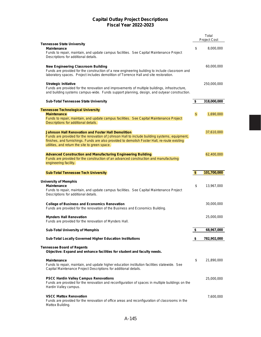|                                                                                                                                                                                                                                                                                                               |                | Total<br><b>Project Cost</b> |
|---------------------------------------------------------------------------------------------------------------------------------------------------------------------------------------------------------------------------------------------------------------------------------------------------------------|----------------|------------------------------|
| <b>Tennessee State University</b>                                                                                                                                                                                                                                                                             |                |                              |
| <b>Maintenance</b><br>Funds to repair, maintain, and update campus facilities. See Capital Maintenance Project                                                                                                                                                                                                | \$             | 8,000,000                    |
| Descriptions for additional details.                                                                                                                                                                                                                                                                          |                |                              |
| <b>New Engineering Classroom Building</b><br>Funds are provided for the construction of a new engineering building to include classroom and<br>laboratory spaces. Project includes demolition of Torrence Hall and site restoration.                                                                          |                | 60,000,000                   |
| <b>Strategic Initiative</b><br>Funds are provided for the renovation and improvements of multiple buildings, infrastructure,<br>and building systems campus-wide. Funds support planning, design, and outyear construction.                                                                                   |                | 250,000,000                  |
| <b>Sub-Total Tennessee State University</b>                                                                                                                                                                                                                                                                   | \$             | 318,000,000                  |
| <b>Tennessee Technological University</b>                                                                                                                                                                                                                                                                     |                |                              |
| <b>Maintenance</b><br>Funds to repair, maintain, and update campus facilities. See Capital Maintenance Project<br>Descriptions for additional details.                                                                                                                                                        | $\mathfrak{S}$ | 1,690,000                    |
| <b>Johnson Hall Renovation and Foster Hall Demolition</b><br>Funds are provided for the renovation of Johnson Hall to include building systems, equipment,<br>finishes, and furnishings. Funds are also provided to demolish Foster Hall, re-route existing<br>utilities, and return the site to green space. |                | 37,610,000                   |
| <b>Advanced Construction and Manufacturing Engineering Building</b><br>Funds are provided for the construction of an advanced construction and manufacturing<br>engineering facility.                                                                                                                         |                | 62,400,000                   |
| <b>Sub-Total Tennessee Tech University</b>                                                                                                                                                                                                                                                                    | \$             | 101,700,000                  |
| <b>University of Memphis</b><br><b>Maintenance</b><br>Funds to repair, maintain, and update campus facilities. See Capital Maintenance Project<br>Descriptions for additional details.                                                                                                                        | \$             | 13,967,000                   |
| <b>College of Business and Economics Renovation</b><br>Funds are provided for the renovation of the Business and Economics Building.                                                                                                                                                                          |                | 30,000,000                   |
| <b>Mynders Hall Renovation</b><br>Funds are provided for the renovation of Mynders Hall.                                                                                                                                                                                                                      |                | 25,000,000                   |
| <b>Sub-Total University of Memphis</b>                                                                                                                                                                                                                                                                        | \$             | 68,967,000                   |
| Sub-Total Locally Governed Higher Education Institutions                                                                                                                                                                                                                                                      | \$             | 782,902,000                  |
| <b>Tennessee Board of Regents</b><br>Objective: Expand and enhance facilities for student and faculty needs.                                                                                                                                                                                                  |                |                              |
| <b>Maintenance</b><br>Funds to repair, maintain, and update higher education institution facilities statewide. See<br>Capital Maintenance Project Descriptions for additional details.                                                                                                                        | \$             | 21,890,000                   |
| <b>PSCC Hardin Valley Campus Renovations</b><br>Funds are provided for the renovation and reconfiguration of spaces in multiple buildings on the<br>Hardin Valley campus.                                                                                                                                     |                | 25,000,000                   |
| <b>VSCC Mattox Renovation</b><br>Funds are provided for the renovation of office areas and reconfiguration of classrooms in the<br>Mattox Building.                                                                                                                                                           |                | 7,600,000                    |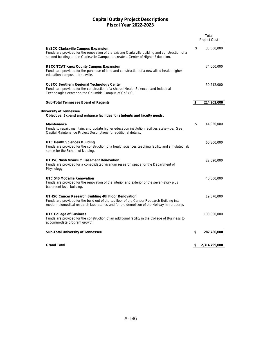|                                                                                                                                                                                                                                                  | Total<br><b>Project Cost</b> |
|--------------------------------------------------------------------------------------------------------------------------------------------------------------------------------------------------------------------------------------------------|------------------------------|
|                                                                                                                                                                                                                                                  |                              |
| <b>NaSCC Clarksville Campus Expansion</b><br>Funds are provided for the renovation of the existing Clarksville building and construction of a<br>second building on the Clarksville Campus to create a Center of Higher Education.               | \$<br>35,500,000             |
| <b>RSCC/TCAT Knox County Campus Expansion</b><br>Funds are provided for the purchase of land and construction of a new allied health higher<br>education campus in Knoxville.                                                                    | 74,000,000                   |
| <b>CoSCC Southern Regional Technology Center</b><br>Funds are provided for the construction of a shared Health Sciences and Industrial<br>Technologies center on the Columbia Campus of CoSCC.                                                   | 50,212,000                   |
| <b>Sub-Total Tennessee Board of Regents</b>                                                                                                                                                                                                      | \$<br>214,202,000            |
| <b>University of Tennessee</b><br>Objective: Expand and enhance facilities for students and faculty needs.                                                                                                                                       |                              |
| <b>Maintenance</b><br>Funds to repair, maintain, and update higher education institution facilities statewide. See<br>Capital Maintenance Project Descriptions for additional details.                                                           | \$<br>44,920,000             |
| <b>UTC Health Sciences Building</b><br>Funds are provided for the construction of a health sciences teaching facility and simulated lab<br>space for the School of Nursing.                                                                      | 60,800,000                   |
| UTHSC Nash Vivarium Basement Renovation<br>Funds are provided for a consolidated vivarium research space for the Department of<br>Physiology.                                                                                                    | 22,690,000                   |
| UTC 540 McCallie Renovation<br>Funds are provided for the renovation of the interior and exterior of the seven-story plus<br>basement-level building.                                                                                            | 40,000,000                   |
| UTHSC Cancer Research Building 4th Floor Renovation<br>Funds are provided for the build out of the top floor of the Cancer Research Building into<br>modern biomedical research laboratories and for the demolition of the Holiday Inn property. | 19,370,000                   |
| UTK College of Business<br>Funds are provided for the construction of an additional facility in the College of Business to<br>accommodate program growth.                                                                                        | 100,000,000                  |
| <b>Sub-Total University of Tennessee</b>                                                                                                                                                                                                         | \$<br>287,780,000            |
|                                                                                                                                                                                                                                                  |                              |
| <b>Grand Total</b>                                                                                                                                                                                                                               | \$<br>2,314,799,000          |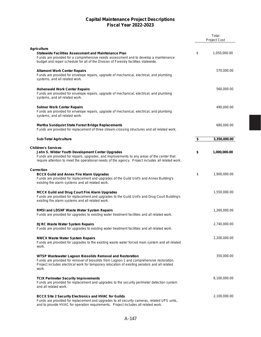|                                                                                                                                                                                                                                                                                   |                      | Total<br><b>Project Cost</b> |
|-----------------------------------------------------------------------------------------------------------------------------------------------------------------------------------------------------------------------------------------------------------------------------------|----------------------|------------------------------|
|                                                                                                                                                                                                                                                                                   |                      |                              |
| <b>Agriculture</b><br><b>Statewide Facilities Assessment and Maintenance Plan</b><br>Funds are provided for a comprehensive needs assessment and to develop a maintenance<br>budget and repair schedule for all of the Division of Forestry facilities statewide.                 | \$                   | 1,050,000.00                 |
| <b>Altamont Work Center Repairs</b><br>Funds are provided for envelope repairs, upgrade of mechanical, electrical, and plumbing<br>systems, and all related work.                                                                                                                 |                      | 570,000.00                   |
| <b>Hohenwald Work Center Repairs</b><br>Funds are provided for envelope repairs, upgrade of mechanical, electrical, and plumbing<br>systems, and all related work.                                                                                                                |                      | 560,000.00                   |
| <b>Selmer Work Center Repairs</b><br>Funds are provided for envelope repairs, upgrade of mechanical, electrical, and plumbing<br>systems, and all related work.                                                                                                                   |                      | 490,000.00                   |
| <b>Martha Sundquist State Forest Bridge Replacements</b><br>Funds are provided for replacement of three stream-crossing structures and all related work.                                                                                                                          |                      | 680,000.00                   |
| <b>Sub-Total Agriculture</b>                                                                                                                                                                                                                                                      | $\overline{\bullet}$ | 3,350,000.00                 |
|                                                                                                                                                                                                                                                                                   |                      |                              |
| <b>Children's Services</b><br>John S. Wilder Youth Development Center Upgrades<br>Funds are provided for repairs, upgrades, and improvements to any areas of the center that<br>require attention to meet the operational needs of the agency. Project includes all related work. | \$                   | 1,000,000.00                 |
| <b>Correction</b><br><b>BCCX Guild and Annex Fire Alarm Upgrades</b><br>Funds are provided for replacement and upgrades of the Guild Unit's and Annex Building's<br>existing fire alarm systems and all related work.                                                             | \$                   | 1,900,000.00                 |
| <b>MCCX Guild and Drug Court Fire Alarm Upgrades</b><br>Funds are provided for replacement and upgrades to the Guild Unit's and Drug Court Building's<br>existing fire alarm systems and all related work.                                                                        |                      | 1,550,000.00                 |
| <b>RMSI and LDSNF Waste Water System Repairs</b><br>Funds are provided for upgrades to existing water treatment facilities and all related work.                                                                                                                                  |                      | 1,260,000.00                 |
| <b>DJRC Waste Water System Repairs</b><br>Funds are provided for upgrades to existing water treatment facilities and all related work.                                                                                                                                            |                      | 2,740,000.00                 |
| <b>NWCX Waste Water System Repairs</b><br>Funds are provided for upgrades to the existing waste water forced main system and all related<br>work.                                                                                                                                 |                      | 2,200,000.00                 |
| WTSP Wastewater Lagoon Biosolids Removal and Restoration<br>Funds are provided for removal of biosolids from Lagoon 1 and comprehensive restoration.<br>Project includes electrical work for temporary relocation of existing aerators and all related<br>work.                   |                      | 350,000.00                   |
| <b>TCIX Perimeter Security Improvements</b><br>Funds are provided for replacement and upgrades to the security perimeter detection system<br>and all related work.                                                                                                                |                      | 6,100,000.00                 |
| <b>BCCX Site 2 Security Electronics and HVAC for Guilds</b><br>Funds are provided for replacement and upgrades to all security cameras, related UPS units,<br>and to provide HVAC for operation requirements. Project includes all related work.                                  |                      | 2,100,000.00                 |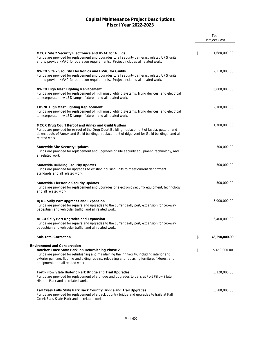|                                                                                                                                                                                                                                                                                               | Total<br>Project Cost |
|-----------------------------------------------------------------------------------------------------------------------------------------------------------------------------------------------------------------------------------------------------------------------------------------------|-----------------------|
| <b>MCCX Site 2 Security Electronics and HVAC for Guilds</b><br>Funds are provided for replacement and upgrades to all security cameras, related UPS units,<br>and to provide HVAC for operation requirements. Project includes all related work.                                              | \$<br>1,680,000.00    |
| <b>NWCX Site 2 Security Electronics and HVAC for Guilds</b><br>Funds are provided for replacement and upgrades to all security cameras, related UPS units,<br>and to provide HVAC for operation requirements. Project includes all related work.                                              | 2,210,000.00          |
| <b>NWCX High Mast Lighting Replacement</b><br>Funds are provided for replacement of high mast lighting systems, lifting devices, and electrical<br>to incorporate new LED lamps, fixtures, and all related work.                                                                              | 6,600,000.00          |
| <b>LDSNF High Mast Lighting Replacement</b><br>Funds are provided for replacement of high mast lighting systems, lifting devices, and electrical<br>to incorporate new LED lamps, fixtures, and all related work.                                                                             | 2,100,000.00          |
| <b>MCCX Drug Court Reroof and Annex and Guild Gutters</b><br>Funds are provided for re-roof of the Drug Court Building; replacement of fascia, gutters, and<br>downspouts of Annex and Guild buildings; replacement of ridge vent for Guild buildings; and all<br>related work.               | 1,700,000.00          |
| <b>Statewide Site Security Updates</b><br>Funds are provided for replacement and upgrades of site security equipment, technology, and<br>all related work.                                                                                                                                    | 500,000.00            |
| <b>Statewide Building Security Updates</b><br>Funds are provided for upgrades to existing housing units to meet current department<br>standards and all related work.                                                                                                                         | 500,000.00            |
| <b>Statewide Electronic Security Updates</b><br>Funds are provided for replacement and upgrades of electronic security equipment, technology,<br>and all related work.                                                                                                                        | 500,000.00            |
| <b>DJRC Sally Port Upgrades and Expansion</b><br>Funds are provided for repairs and upgrades to the current sally port; expansion for two-way<br>pedestrian and vehicular traffic; and all related work.                                                                                      | 5,900,000.00          |
| <b>NECX Sally Port Upgrades and Expansion</b><br>Funds are provided for repairs and upgrades to the current sally port; expansion for two-way<br>pedestrian and vehicular traffic; and all related work.                                                                                      | 6,400,000.00          |
| <b>Sub-Total Correction</b>                                                                                                                                                                                                                                                                   | \$<br>46,290,000.00   |
| <b>Environment and Conservation</b><br>Natchez Trace State Park Inn Refurbishing Phase 2<br>Funds are provided for refurbishing and maintaining the inn facility, including interior and<br>exterior painting; flooring and siding repairs; relocating and replacing furniture, fixtures, and | \$<br>5,450,000.00    |
| equipment, and all related work.<br>Fort Pillow State Historic Park Bridge and Trail Upgrades<br>Funds are provided for replacement of a bridge and upgrades to trails at Fort Pillow State<br>Historic Park and all related work.                                                            | 5,120,000.00          |
| Fall Creek Falls State Park Back Country Bridge and Trail Upgrades<br>Funds are provided for replacement of a back country bridge and upgrades to trails at Fall<br>Creek Falls State Park and all related work.                                                                              | 3,580,000.00          |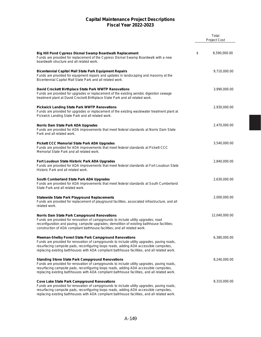|                                                                                                                                                                                                                                                                                                                                                        | Total<br><b>Project Cost</b> |
|--------------------------------------------------------------------------------------------------------------------------------------------------------------------------------------------------------------------------------------------------------------------------------------------------------------------------------------------------------|------------------------------|
|                                                                                                                                                                                                                                                                                                                                                        |                              |
| Big Hill Pond Cypress Dismal Swamp Boardwalk Replacement<br>Funds are provided for replacement of the Cypress Dismal Swamp Boardwalk with a new<br>boardwalk structure and all related work.                                                                                                                                                           | \$<br>8,590,000.00           |
| <b>Bicentennial Capitol Mall State Park Equipment Repairs</b><br>Funds are provided for equipment repairs and updates in landscaping and masonry at the<br>Bicentennial Capitol Mall State Park and all related work.                                                                                                                                  | 9,710,000.00                 |
| David Crockett Birthplace State Park WWTP Renovations<br>Funds are provided for upgrades or replacement of the existing aerobic digestion sewage<br>treatment plant at David Crockett Birthplace State Park and all related work.                                                                                                                      | 3,990,000.00                 |
| <b>Pickwick Landing State Park WWTP Renovations</b><br>Funds are provided for upgrades or replacement of the existing wastewater treatment plant at<br>Pickwick Landing State Park and all related work.                                                                                                                                               | 2,930,000.00                 |
| Norris Dam State Park ADA Upgrades<br>Funds are provided for ADA improvements that meet federal standards at Norris Dam State<br>Park and all related work.                                                                                                                                                                                            | 2,470,000.00                 |
| <b>Pickett CCC Memorial State Park ADA Upgrades</b><br>Funds are provided for ADA improvements that meet federal standards at Pickett CCC<br>Memorial State Park and all related work.                                                                                                                                                                 | 3,540,000.00                 |
| Fort Loudoun State Historic Park ADA Upgrades<br>Funds are provided for ADA improvements that meet federal standards at Fort Loudoun State<br>Historic Park and all related work.                                                                                                                                                                      | 2,840,000.00                 |
| South Cumberland State Park ADA Upgrades<br>Funds are provided for ADA improvements that meet federal standards at South Cumberland<br>State Park and all related work.                                                                                                                                                                                | 2,630,000.00                 |
| <b>Statewide State Park Playground Replacements</b><br>Funds are provided for replacement of playground facilities, associated infrastructure, and all<br>related work.                                                                                                                                                                                | 2,000,000.00                 |
| Norris Dam State Park Campground Renovations<br>Funds are provided for renovation of campgrounds to include utility upgrades; road<br>reconfiguration and paving; campsite upgrades; demolition of existing bathhouse facilities;<br>construction of ADA compliant bathhouse facilities; and all related work.                                         | 12,040,000.00                |
| <b>Meeman-Shelby Forest State Park Campground Renovations</b><br>Funds are provided for renovation of campgrounds to include utility upgrades, paving roads,<br>resurfacing campsite pads, reconfiguring loops roads, adding ADA accessible campsites,<br>replacing existing bathhouses with ADA compliant bathhouse facilities, and all related work. | 6,380,000.00                 |
| <b>Standing Stone State Park Campground Renovations</b><br>Funds are provided for renovation of campgrounds to include utility upgrades, paving roads,<br>resurfacing campsite pads, reconfiguring loops roads, adding ADA accessible campsites,<br>replacing existing bathhouses with ADA compliant bathhouse facilities, and all related work.       | 8,240,000.00                 |
| <b>Cove Lake State Park Campground Renovations</b><br>Funds are provided for renovation of campgrounds to include utility upgrades, paving roads,<br>resurfacing campsite pads, reconfiguring loops roads, adding ADA accessible campsites,<br>replacing existing bathhouses with ADA compliant bathhouse facilities, and all related work.            | 8,310,000.00                 |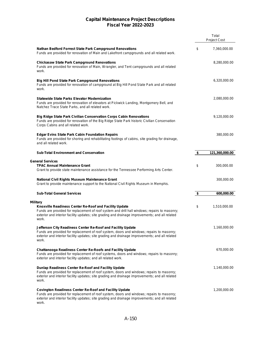|                                                                                                                                                                                                                                                                                        | Total<br><b>Project Cost</b> |
|----------------------------------------------------------------------------------------------------------------------------------------------------------------------------------------------------------------------------------------------------------------------------------------|------------------------------|
| <b>Nathan Bedford Forrest State Park Campground Renovations</b><br>Funds are provided for renovation of Main and Lakefront campgrounds and all related work.                                                                                                                           | \$<br>7,360,000.00           |
| <b>Chickasaw State Park Campground Renovations</b><br>Funds are provided for renovation of Main, Wrangler, and Tent campgrounds and all related<br>work.                                                                                                                               | 8,280,000.00                 |
| <b>Big Hill Pond State Park Campground Renovations</b><br>Funds are provided for renovation of campground at Big Hill Pond State Park and all related<br>work.                                                                                                                         | 6,320,000.00                 |
| <b>Statewide State Parks Elevator Modernization</b><br>Funds are provided for renovation of elevators at Pickwick Landing, Montgomery Bell, and<br>Natchez Trace State Parks, and all related work.                                                                                    | 2,080,000.00                 |
| <b>Big Ridge State Park Civilian Conservation Corps Cabin Renovations</b><br>Funds are provided for renovation of the Big Ridge State Park historic Civilian Conservation<br>Corps Cabins and all related work.                                                                        | 9,120,000.00                 |
| <b>Edgar Evins State Park Cabin Foundation Repairs</b><br>Funds are provided for shoring and rehabilitating footings of cabins, site grading for drainage,<br>and all related work.                                                                                                    | 380,000.00                   |
| <b>Sub-Total Environment and Conservation</b>                                                                                                                                                                                                                                          | \$<br>121,360,000.00         |
| <b>General Services</b><br><b>TPAC Annual Maintenance Grant</b><br>Grant to provide state maintenance assistance for the Tennessee Performing Arts Center.                                                                                                                             | \$<br>300,000.00             |
| <b>National Civil Rights Museum Maintenance Grant</b><br>Grant to provide maintenance support to the National Civil Rights Museum in Memphis.                                                                                                                                          | 300,000.00                   |
| <b>Sub-Total General Services</b>                                                                                                                                                                                                                                                      | \$<br>600,000.00             |
| <b>Military</b><br>Knoxville Readiness Center Re-Roof and Facility Update<br>Funds are provided for replacement of roof system and drill hall windows; repairs to masonry;<br>exterior and interior facility updates; site grading and drainage improvements; and all related<br>work. | \$<br>1,510,000.00           |
| Jefferson City Readiness Center Re-Roof and Facility Update<br>Funds are provided for replacement of roof system, doors and windows; repairs to masonry;<br>exterior and interior facility updates; site grading and drainage improvements; and all related<br>work.                   | 1,160,000.00                 |
| <b>Chattanooga Readiness Center Re-Roofs and Facility Update</b><br>Funds are provided for replacement of roof systems, doors and windows; repairs to masonry;<br>exterior and interior facility updates; and all related work.                                                        | 670,000.00                   |
| Dunlap Readiness Center Re-Roof and Facility Update<br>Funds are provided for replacement of roof system, doors and windows; repairs to masonry;<br>exterior and interior facility updates; site grading and drainage improvements; and all related<br>work.                           | 1,140,000.00                 |
| <b>Covington Readiness Center Re-Roof and Facility Update</b><br>Funds are provided for replacement of roof system, doors and windows; repairs to masonry;<br>exterior and interior facility updates; site grading and drainage improvements; and all related<br>work.                 | 1,200,000.00                 |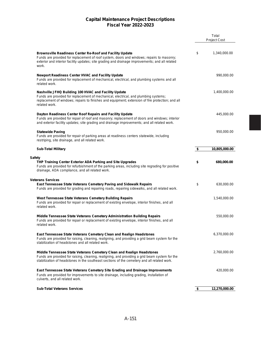|                                                                                                                                                                                                                                                                        | Total<br><b>Project Cost</b> |
|------------------------------------------------------------------------------------------------------------------------------------------------------------------------------------------------------------------------------------------------------------------------|------------------------------|
| <b>Brownsville Readiness Center Re-Roof and Facility Update</b><br>Funds are provided for replacement of roof system, doors and windows; repairs to masonry;<br>exterior and interior facility updates; site grading and drainage improvements; and all related        | \$<br>1,340,000.00           |
| work.<br><b>Newport Readiness Center HVAC and Facility Update</b>                                                                                                                                                                                                      | 990,000.00                   |
| Funds are provided for replacement of mechanical, electrical, and plumbing systems and all<br>related work.                                                                                                                                                            |                              |
| Nashville JFHQ Building 100 HVAC and Facility Update<br>Funds are provided for replacement of mechanical, electrical, and plumbing systems;<br>replacement of windows; repairs to finishes and equipment; extension of fire protection; and all<br>related work.       | 1,400,000.00                 |
| Dayton Readiness Center Roof Repairs and Facility Update<br>Funds are provided for repair of roof and masonry; replacement of doors and windows; interior<br>and exterior facility updates; site grading and drainage improvements; and all related work.              | 445,000.00                   |
| <b>Statewide Paving</b><br>Funds are provided for repair of parking areas at readiness centers statewide, including<br>restriping, site drainage, and all related work.                                                                                                | 950,000.00                   |
| <b>Sub-Total Military</b>                                                                                                                                                                                                                                              | \$<br>10,805,000.00          |
| <b>Safety</b><br>THP Training Center Exterior ADA Parking and Site Upgrades<br>Funds are provided for refurbishment of the parking areas, including site regrading for positive<br>drainage, ADA compliance, and all related work.                                     | \$<br>680,000.00             |
| <b>Veterans Services</b><br>East Tennessee State Veterans Cemetery Paving and Sidewalk Repairs<br>Funds are provided for grading and repairing roads, repairing sidewalks, and all related work.                                                                       | \$<br>630,000.00             |
| West Tennessee State Veterans Cemetery Building Repairs<br>Funds are provided for repair or replacement of existing envelope, interior finishes, and all<br>related work.                                                                                              | 1,540,000.00                 |
| <b>Middle Tennessee State Veterans Cemetery Administration Building Repairs</b><br>Funds are provided for repair or replacement of existing envelope, interior finishes, and all<br>related work.                                                                      | 550,000.00                   |
| <b>East Tennessee State Veterans Cemetery Clean and Realign Headstones</b><br>Funds are provided for raising, cleaning, realigning, and providing a grid beam system for the<br>stabilization of headstones and all related work.                                      | 6,370,000.00                 |
| Middle Tennessee State Veterans Cemetery Clean and Realign Headstones<br>Funds are provided for raising, cleaning, realigning, and providing a grid beam system for the<br>stabilization of headstones in the southeast sections of the cemetery and all related work. | 2,760,000.00                 |
| <b>East Tennessee State Veterans Cemetery Site Grading and Drainage Improvements</b><br>Funds are provided for improvements to site drainage, including grading, installation of<br>culverts, and all related work.                                                    | 420,000.00                   |
| <b>Sub-Total Veterans Services</b>                                                                                                                                                                                                                                     | \$<br>12,270,000.00          |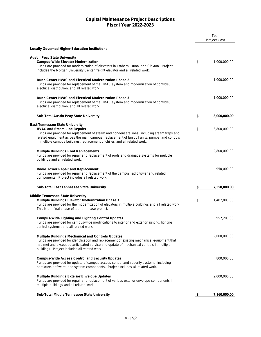|                                                                                                                                                                                                                                                                                                                                                            | Total<br><b>Project Cost</b> |
|------------------------------------------------------------------------------------------------------------------------------------------------------------------------------------------------------------------------------------------------------------------------------------------------------------------------------------------------------------|------------------------------|
| <b>Locally Governed Higher Education Institutions</b>                                                                                                                                                                                                                                                                                                      |                              |
| <b>Austin Peay State University</b><br><b>Campus-Wide Elevator Modernization</b><br>Funds are provided for modernization of elevators in Trahern, Dunn, and Claxton. Project<br>includes the Morgan University Center freight elevator and all related work.                                                                                               | \$<br>1,000,000.00           |
| Dunn Center HVAC and Electrical Modernization Phase 2<br>Funds are provided for replacement of the HVAC system and modernization of controls,<br>electrical distribution, and all related work.                                                                                                                                                            | 1,000,000.00                 |
| Dunn Center HVAC and Electrical Modernization Phase 3<br>Funds are provided for replacement of the HVAC system and modernization of controls,<br>electrical distribution, and all related work.                                                                                                                                                            | 1,000,000.00                 |
| <b>Sub-Total Austin Peay State University</b>                                                                                                                                                                                                                                                                                                              | \$<br>3,000,000.00           |
| <b>East Tennessee State University</b><br><b>HVAC and Steam Line Repairs</b><br>Funds are provided for replacement of steam and condensate lines, including steam traps and<br>related equipment across the main campus; replacement of fan coil units, pumps, and controls<br>in multiple campus buildings; replacement of chiller; and all related work. | \$<br>3,800,000.00           |
| <b>Multiple Buildings Roof Replacements</b><br>Funds are provided for repair and replacement of roofs and drainage systems for multiple<br>buildings and all related work.                                                                                                                                                                                 | 2,800,000.00                 |
| <b>Radio Tower Repair and Replacement</b><br>Funds are provided for repair and replacement of the campus radio tower and related<br>components. Project includes all related work.                                                                                                                                                                         | 950,000.00                   |
| Sub-Total East Tennessee State University                                                                                                                                                                                                                                                                                                                  | \$<br>7,550,000.00           |
| <b>Middle Tennessee State University</b><br><b>Multiple Buildings Elevator Modernization Phase 3</b><br>Funds are provided for the modernization of elevators in multiple buildings and all related work.<br>This is the final phase of a three-phase project.                                                                                             | \$<br>1,407,800.00           |
| <b>Campus-Wide Lighting and Lighting Control Updates</b><br>Funds are provided for campus-wide modifications to interior and exterior lighting, lighting<br>control systems, and all related work.                                                                                                                                                         | 952,200.00                   |
| <b>Multiple Buildings Mechanical and Controls Updates</b><br>Funds are provided for identification and replacement of existing mechanical equipment that<br>has met and exceeded anticipated service and update of mechanical controls in multiple<br>buildings. Project includes all related work.                                                        | 2,000,000.00                 |
| <b>Campus-Wide Access Control and Security Updates</b><br>Funds are provided for update of campus access control and security systems, including<br>hardware, software, and system components. Project includes all related work.                                                                                                                          | 800,000.00                   |
| <b>Multiple Buildings Exterior Envelope Updates</b><br>Funds are provided for repair and replacement of various exterior envelope components in<br>multiple buildings and all related work.                                                                                                                                                                | 2,000,000.00                 |
| Sub-Total Middle Tennessee State University                                                                                                                                                                                                                                                                                                                | \$<br>7,160,000.00           |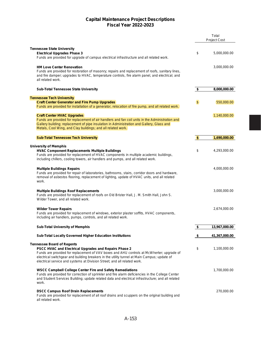|                                                                                                                                                                                                                                                                                                                                                                           |               | Total               |
|---------------------------------------------------------------------------------------------------------------------------------------------------------------------------------------------------------------------------------------------------------------------------------------------------------------------------------------------------------------------------|---------------|---------------------|
|                                                                                                                                                                                                                                                                                                                                                                           |               | <b>Project Cost</b> |
| <b>Tennessee State University</b>                                                                                                                                                                                                                                                                                                                                         |               |                     |
| <b>Electrical Upgrades Phase 3</b><br>Funds are provided for upgrade of campus electrical infrastructure and all related work.                                                                                                                                                                                                                                            | \$            | 5,000,000.00        |
| <b>HM Love Center Renovation</b><br>Funds are provided for restoration of masonry; repairs and replacement of roofs, sanitary lines,<br>and fire damper; upgrades to HVAC, temperature controls, fire alarm panel, and electrical; and<br>all related work.                                                                                                               |               | 3,000,000.00        |
| <b>Sub-Total Tennessee State University</b>                                                                                                                                                                                                                                                                                                                               | \$            | 8,000,000.00        |
| <b>Tennessee Tech University</b>                                                                                                                                                                                                                                                                                                                                          |               |                     |
| <b>Craft Center Generator and Fire Pump Upgrades</b>                                                                                                                                                                                                                                                                                                                      | \$            | 550,000.00          |
| Funds are provided for installation of a generator, relocation of fire pump, and all related work.                                                                                                                                                                                                                                                                        |               |                     |
| <b>Craft Center HVAC Upgrades</b><br>Funds are provided for replacement of air handlers and fan coil units in the Administration and<br>Gallery building; replacement of pipe insulation in Administration and Gallery, Glass and<br>Metals, Cool Wing, and Clay buildings; and all related work.                                                                         |               | 1,140,000.00        |
| <b>Sub-Total Tennessee Tech University</b>                                                                                                                                                                                                                                                                                                                                | \$            | 1,690,000.00        |
|                                                                                                                                                                                                                                                                                                                                                                           |               |                     |
| <b>University of Memphis</b><br><b>HVAC Component Replacements Multiple Buildings</b><br>Funds are provided for replacement of HVAC components in multiple academic buildings,<br>including chillers, cooling towers, air handlers and pumps, and all related work.                                                                                                       | \$            | 4,293,000.00        |
| <b>Multiple Buildings Repairs</b><br>Funds are provided for repair of laboratories, bathrooms, stairs, corridor doors and hardware,<br>removal of asbestos flooring, replacement of lighting, update of HVAC units, and all related<br>work.                                                                                                                              |               | 4,000,000.00        |
| <b>Multiple Buildings Roof Replacements</b><br>Funds are provided for replacement of roofs on Old Brister Hall, J. M. Smith Hall, John S.<br>Wilder Tower, and all related work.                                                                                                                                                                                          |               | 3,000,000.00        |
| <b>Wilder Tower Repairs</b><br>Funds are provided for replacement of windows, exterior plaster soffits, HVAC components,<br>including air handlers, pumps, controls, and all related work.                                                                                                                                                                                |               | 2,674,000.00        |
| <b>Sub-Total University of Memphis</b>                                                                                                                                                                                                                                                                                                                                    | $\frac{1}{2}$ | 13,967,000.00       |
| <b>Sub-Total Locally Governed Higher Education Institutions</b>                                                                                                                                                                                                                                                                                                           | \$            | 41,367,000.00       |
| <b>Tennessee Board of Regents</b><br><b>PSCC HVAC and Electrical Upgrades and Repairs Phase 2</b><br>Funds are provided for replacement of VAV boxes and AHU controls at McWherter; upgrade of<br>electrical switchgear and building breakers in the utility tunnel at Main Campus; update of<br>electrical service and systems at Division Street; and all related work. | \$            | 1,100,000.00        |
| <b>WSCC Campbell College Center Fire and Safety Remediations</b><br>Funds are provided for correction of sprinkler and fire alarm deficiencies in the College Center<br>and Student Services Building; update related data and electrical infrastructure; and all related<br>work.                                                                                        |               | 1,700,000.00        |
| <b>DSCC Campus Roof Drain Replacements</b><br>Funds are provided for replacement of all roof drains and scuppers on the original building and<br>all related work.                                                                                                                                                                                                        |               | 270,000.00          |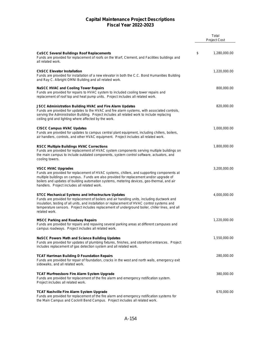|                                                                                                                                                                                                                                                                                                                                                                                | Total<br><b>Project Cost</b> |
|--------------------------------------------------------------------------------------------------------------------------------------------------------------------------------------------------------------------------------------------------------------------------------------------------------------------------------------------------------------------------------|------------------------------|
|                                                                                                                                                                                                                                                                                                                                                                                |                              |
| <b>CoSCC Several Buildings Roof Replacements</b><br>Funds are provided for replacement of roofs on the Warf, Clement, and Facilities buildings and<br>all related work.                                                                                                                                                                                                        | \$<br>1,280,000.00           |
| <b>ChSCC Elevator Installation</b><br>Funds are provided for installation of a new elevator in both the C.C. Bond Humanities Building<br>and Ray C. Albright OMNI Building and all related work.                                                                                                                                                                               | 1,220,000.00                 |
| <b>NaSCC HVAC and Cooling Tower Repairs</b><br>Funds are provided for repairs to HVAC system to included cooling tower repairs and<br>replacement of roof top and heat pump units. Project includes all related work.                                                                                                                                                          | 800,000.00                   |
| <b>JSCC Administration Building HVAC and Fire Alarm Updates</b><br>Funds are provided for updates to the HVAC and fire alarm systems, with associated controls,<br>serving the Administration Building. Project includes all related work to include replacing<br>ceiling grid and lighting where affected by the work.                                                        | 820,000.00                   |
| <b>CISCC Campus HVAC Updates</b><br>Funds are provided for updates to campus central plant equipment, including chillers, boilers,<br>air handlers, controls, and other HVAC equipment. Project includes all related work.                                                                                                                                                     | 1,000,000.00                 |
| <b>RSCC Multiple Buildings HVAC Corrections</b><br>Funds are provided for replacement of HVAC system components serving multiple buildings on<br>the main campus to include outdated components, system control software, actuators, and<br>cooling towers.                                                                                                                    | 1,800,000.00                 |
| <b>VSCC HVAC Upgrades</b><br>Funds are provided for replacement of HVAC systems, chillers, and supporting components at<br>multiple buildings on campus. Funds are also provided for replacement and/or upgrade of<br>boilers and updates of building automation systems, metering devices, geo-thermal, and air<br>handlers. Project includes all related work.               | 3,200,000.00                 |
| <b>STCC Mechanical Systems and Infrastructure Updates</b><br>Funds are provided for replacement of boilers and air handling units, including ductwork and<br>insulation, testing of all units, and installation or replacement of HVAC control systems and<br>temperature sensors. Project includes replacement of underground boiler, chiller lines, and all<br>related work. | 4,000,000.00                 |
| <b>MSCC Parking and Roadway Repairs</b><br>Funds are provided for repairs and repaving several parking areas at different campuses and<br>campus roadways. Project includes all related work.                                                                                                                                                                                  | 1,220,000.00                 |
| <b>NeSCC Powers Math and Science Building Updates</b><br>Funds are provided for updates of plumbing fixtures, finishes, and storefront entrances. Project<br>includes replacement of gas detection system and all related work.                                                                                                                                                | 1,550,000.00                 |
| <b>TCAT Harriman Building D Foundation Repairs</b><br>Funds are provided for repair of foundation, cracks in the west and north walls, emergency exit<br>sidewalks, and all related work.                                                                                                                                                                                      | 280,000.00                   |
| <b>TCAT Murfreesboro Fire Alarm System Upgrade</b><br>Funds are provided for replacement of the fire alarm and emergency notification system.<br>Project includes all related work.                                                                                                                                                                                            | 380,000.00                   |
| <b>TCAT Nashville Fire Alarm System Upgrade</b><br>Funds are provided for replacement of the fire alarm and emergency notification systems for<br>the Main Campus and Cockrill Bend Campus. Project includes all related work.                                                                                                                                                 | 670,000.00                   |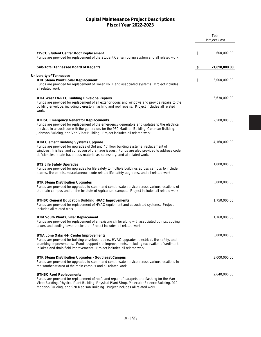|                                                                                                                                                                                                                                                                                                                              | Total<br><b>Project Cost</b> |
|------------------------------------------------------------------------------------------------------------------------------------------------------------------------------------------------------------------------------------------------------------------------------------------------------------------------------|------------------------------|
|                                                                                                                                                                                                                                                                                                                              |                              |
| <b>CISCC Student Center Roof Replacement</b><br>Funds are provided for replacement of the Student Center roofing system and all related work.                                                                                                                                                                                | \$<br>600,000.00             |
| <b>Sub-Total Tennessee Board of Regents</b>                                                                                                                                                                                                                                                                                  | \$<br>21,890,000.00          |
|                                                                                                                                                                                                                                                                                                                              |                              |
| <b>University of Tennessee</b><br><b>UTK Steam Plant Boiler Replacement</b><br>Funds are provided for replacement of Boiler No. 1 and associated systems. Project includes<br>all related work.                                                                                                                              | \$<br>3,000,000.00           |
| UTIA West TN-REC Building Envelope Repairs<br>Funds are provided for replacement of all exterior doors and windows and provide repairs to the<br>building envelope, including clerestory flashing and roof repairs. Project includes all related<br>work.                                                                    | 3,630,000.00                 |
| <b>UTHSC Emergency Generator Replacements</b><br>Funds are provided for replacement of the emergency generators and updates to the electrical<br>services in association with the generators for the 930 Madison Building, Coleman Building,<br>Johnson Building, and Van Vleet Building. Project includes all related work. | 2,500,000.00                 |
| <b>UTM Clement Building Systems Upgrade</b><br>Funds are provided for upgrades of 3rd and 4th floor building systems, replacement of<br>windows, finishes, and correction of drainage issues. Funds are also provided to address code<br>deficiencies, abate hazardous material as necessary, and all related work.          | 4,160,000.00                 |
| UTS Life Safety Upgrades<br>Funds are provided for upgrades for life safety to multiple buildings across campus to include<br>alarms, fire panels, miscellaneous code related life safety upgrades, and all related work.                                                                                                    | 1,000,000.00                 |
| <b>UTK Steam Distribution Upgrades</b><br>Funds are provided for upgrades to steam and condensate service across various locations of<br>the main campus and on the Institute of Agriculture campus. Project includes all related work.                                                                                      | 3,000,000.00                 |
| <b>UTHSC General Education Building HVAC Improvements</b><br>Funds are provided for replacement of HVAC equipment and associated systems. Project<br>includes all related work.                                                                                                                                              | 1,750,000.00                 |
| UTM South Plant Chiller Replacement<br>Funds are provided for replacement of an existing chiller along with associated pumps, cooling<br>tower, and cooling tower enclosure. Project includes all related work.                                                                                                              | 1,760,000.00                 |
| UTIA Lone Oaks 4-H Center Improvements<br>Funds are provided for building envelope repairs, HVAC upgrades, electrical, fire safety, and<br>plumbing improvements. Funds support site improvements, including excavation of sediment<br>in lakes and drain field improvements. Project includes all related work.             | 3,000,000.00                 |
| UTK Steam Distribution Upgrades - Southeast Campus<br>Funds are provided for upgrades to steam and condensate service across various locations in<br>the southeast area of the main campus and all related work.                                                                                                             | 3,000,000.00                 |
| <b>UTHSC Roof Replacements</b><br>Funds are provided for replacement of roofs and repair of parapets and flashing for the Van<br>Vleet Building, Physical Plant Building, Physical Plant Shop, Molecular Science Building, 910<br>Madison Building, and 920 Madison Building. Project includes all related work.             | 2,640,000.00                 |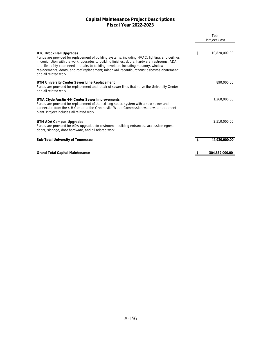|                                                                                                                                                                                                                                                                                                                                                                                                                                                 | Total<br><b>Project Cost</b> |                |  |  |  |
|-------------------------------------------------------------------------------------------------------------------------------------------------------------------------------------------------------------------------------------------------------------------------------------------------------------------------------------------------------------------------------------------------------------------------------------------------|------------------------------|----------------|--|--|--|
| <b>UTC Brock Hall Upgrades</b><br>Funds are provided for replacement of building systems, including HVAC, lighting, and ceilings<br>in conjunction with the work; upgrades to building finishes, doors, hardware, restrooms, ADA<br>and life safety code needs; repairs to building envelope, including masonry, window<br>replacements, doors, and roof replacement; minor wall reconfigurations; asbestos abatement;<br>and all related work. | \$                           | 10,820,000.00  |  |  |  |
| UTM University Center Sewer Line Replacement<br>Funds are provided for replacement and repair of sewer lines that serve the University Center<br>and all related work.                                                                                                                                                                                                                                                                          |                              | 890,000.00     |  |  |  |
| UTIA Clyde Austin 4-H Center Sewer Improvements<br>Funds are provided for replacement of the existing septic system with a new sewer and<br>connection from the 4-H Center to the Greeneville Water Commission wastewater treatment<br>plant. Project includes all related work.                                                                                                                                                                |                              | 1,260,000.00   |  |  |  |
| UTM ADA Campus Upgrades<br>Funds are provided for ADA upgrades for restrooms, building entrances, accessible egress<br>doors, signage, door hardware, and all related work.                                                                                                                                                                                                                                                                     |                              | 2,510,000.00   |  |  |  |
| <b>Sub-Total University of Tennessee</b>                                                                                                                                                                                                                                                                                                                                                                                                        | \$                           | 44,920,000.00  |  |  |  |
| <b>Grand Total Capital Maintenance</b>                                                                                                                                                                                                                                                                                                                                                                                                          | 5                            | 304,532,000.00 |  |  |  |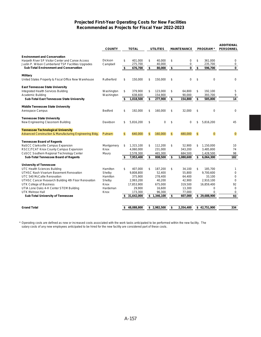#### **Projected First-Year Operating Costs for New Facilities Recommended as Projects for Fiscal Year 2022-2023**

|                                                                                                                                                | <b>COUNTY</b>              |                | <b>TOTAL</b>       |              | <b>UTILITIES</b> |                | <b>MAINTENANCE</b> | <b>PROGRAM*</b>          | <b>ADDITIONAL</b><br><b>PERSONNEL</b> |
|------------------------------------------------------------------------------------------------------------------------------------------------|----------------------------|----------------|--------------------|--------------|------------------|----------------|--------------------|--------------------------|---------------------------------------|
| <b>Environment and Conservation</b><br>Harpeth River SP Visitor Center and Canoe Access<br>Justin P. Wilson Cumberland TSP Facilities Upgrades | <b>Dickson</b><br>Campbell | \$             | 401.000<br>275,700 | \$           | 40.000<br>40,000 | \$             | 0<br>$\mathbf 0$   | \$<br>361.000<br>235,700 | 0<br>0                                |
| <b>Sub-Total Environment and Conservation</b>                                                                                                  |                            | \$             | 676,700            | \$           | 80,000           | \$             | $\bf{0}$           | \$<br>596,700            | $\bf{0}$                              |
| <b>Military</b>                                                                                                                                |                            |                |                    |              |                  |                |                    |                          |                                       |
| United States Property & Fiscal Office New Warehouse                                                                                           | Rutherford                 | \$             | 150,000            | \$           | 150,000          | \$             | $\mathbf 0$        | \$<br>$\Omega$           | 0                                     |
| <b>East Tennessee State University</b>                                                                                                         |                            |                |                    |              |                  |                |                    |                          |                                       |
| Integrated Health Services Building                                                                                                            | Washington                 | \$             | 379,900            | \$           | 123,000          | \$             | 64,800             | \$<br>192,100            | 5                                     |
| Academic Building                                                                                                                              | Washington                 |                | 638,600            |              | 154,900          |                | 90,000             | 393,700                  | 9                                     |
| <b>Sub-Total East Tennessee State University</b>                                                                                               |                            | \$             | 1,018,500          | \$           | 277,900          | \$             | 154,800            | \$<br>585,800            | $\overline{14}$                       |
| <b>Middle Tennessee State University</b>                                                                                                       |                            |                |                    |              |                  |                |                    |                          |                                       |
| Aerospace Campus                                                                                                                               | Bedford                    | \$             | 192,000            | \$           | 160,000          | \$             | 32,000             | \$<br>$\mathbf 0$        | 0                                     |
| <b>Tennessee State University</b>                                                                                                              |                            |                |                    |              |                  |                |                    |                          |                                       |
| New Engineering Classroom Building                                                                                                             | Davidson                   | \$             | 5,816,200          | \$           | 0                | \$             | 0                  | \$<br>5,816,200          | 45                                    |
| <b>Tennessee Technological University</b>                                                                                                      |                            |                |                    |              |                  |                |                    |                          |                                       |
| Advanced Construction & Manufacturing Engineering Bldg.                                                                                        | Putnam                     | $\mathfrak{L}$ | 640.000            | $\mathbf{s}$ | 160.000          | $\mathfrak{s}$ | 480.000            | \$<br>$\Omega$           | $\overline{0}$                        |
| <b>Tennessee Board of Regents</b>                                                                                                              |                            |                |                    |              |                  |                |                    |                          |                                       |
| NaSCC Clarksville Campus Expansion                                                                                                             | Montgomery                 | \$             | 1,315,100          | \$           | 112,200          | \$             | 52,900             | \$<br>1,150,000          | 10                                    |
| RSCC/TCAT Knox County Campus Expansion                                                                                                         | Knox                       |                | 4,060,000          |              | 231,000          |                | 343,200            | 3,485,800                | 74                                    |
| CoSCC Southern Regional Technology Center                                                                                                      | Maury                      |                | 2,578,300          |              | 465,300          |                | 684,500            | 1,428,500                | 98                                    |
| Sub-Total Tennessee Board of Regents                                                                                                           |                            | \$             | 7,953,400          | \$           | 808,500          | \$             | 1,080,600          | \$<br>6,064,300          | 182                                   |
| <b>University of Tennessee</b>                                                                                                                 |                            |                |                    |              |                  |                |                    |                          |                                       |
| UTC Health Sciences Building                                                                                                                   | Hamilton                   | \$             | 407,000            | \$           | 187,200          | \$             | 34,100             | \$<br>185,700            | 1                                     |
| <b>UTHSC Nash Vivarium Basement Renovation</b>                                                                                                 | Shelby                     |                | 9.808.800          |              | 52,400           |                | 55,800             | 9,700,600                | $\mathbf 0$                           |
| UTC 540 McCallie Renovation                                                                                                                    | Hamilton                   |                | 375,900            |              | 278,400          |                | 64,400             | 33,100                   | $\mathbf 0$                           |
| UTHSC Cancer Research Building 4th Floor Renovation                                                                                            | Shelby                     |                | 2.993.200          |              | 40,200           |                | 42.900             | 2.910.100                | 0                                     |
| UTK College of Business                                                                                                                        | Knox                       |                | 17,853,900         |              | 675.000          |                | 319,500            | 16,859,400               | 92                                    |
| UTIA Lone Oaks 4-H Center STEM Building                                                                                                        | Hardeman                   |                | 29,900             |              | 16,600           |                | 13,300             | 0                        | $\mathbf 0$                           |
| <b>UTK Melrose Hall</b>                                                                                                                        | Knox                       |                | 173,300            |              | 96,300           |                | 77,000             | $\mathbf 0$              | 0                                     |
| Sub-Total University of Tennessee                                                                                                              |                            | \$             | 31,642,000         |              | \$1,346,100      | \$             | 607,000            | \$29,688,900             | 93                                    |
|                                                                                                                                                |                            |                |                    |              |                  |                |                    |                          |                                       |
| <b>Grand Total</b>                                                                                                                             |                            | \$             | 48,088,800         |              | \$2,982,500      | \$             | 2,354,400          | \$42,751,900             | 334                                   |

\* Operating costs are defined as new or increased costs associated with the work tasks anticipated to be performed within the new facility. The salary costs of any new employees anticipated to be hired for the new facility are considered part of these costs.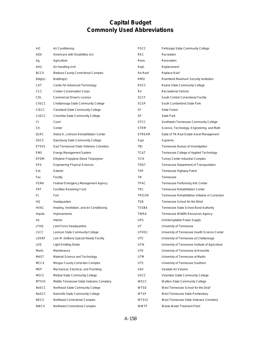# **Capital Budget Commonly Used Abbreviations**

| A/C          | Air Conditioning                           | <b>PSCC</b>   | Pellissippi State Community College               |
|--------------|--------------------------------------------|---------------|---------------------------------------------------|
| ADA          | Americans with Disabilities Act            | <b>REC</b>    | Recreation                                        |
| Ag.          | Agriculture                                | Reno.         | Renovation                                        |
| AHU          | Air Handling Unit                          | Repl.         | Replacement                                       |
| <b>BCCX</b>  | <b>Bledsoe County Correctional Complex</b> | Re-Roof       | Replace Roof                                      |
| $Bldg(s)$ .  | Building(s)                                | <b>RMSI</b>   | Riverbend Maximum Security Institution            |
| CAT          | Center for Advanced Technology             | <b>RSCC</b>   | Roane State Community College                     |
| $_{\rm ccc}$ | Civilian Conservation Corps                | RV            | <b>Recreational Vehicle</b>                       |
| CDL          | <b>Commercial Driver's License</b>         | <b>SCCF</b>   | South Central Correctional Facility               |
| ChSCC        | Chattanooga State Community College        | <b>SCSP</b>   | South Cumberland State Park                       |
| <b>CISCC</b> | <b>Cleveland State Community College</b>   | SF            | <b>State Forest</b>                               |
| CoSCC        | Columbia State Community College           | <b>SP</b>     | <b>State Park</b>                                 |
| Ct           | Court                                      | <b>STCC</b>   | Southwest Tennessee Community College             |
| Ctr.         | Center                                     | <b>STEM</b>   | Science, Technology, Engineering, and Math        |
| <b>DJRC</b>  | Debra K. Johnson Rehabilitation Center     | <b>STREAM</b> | State of TN Real Estate Asset Management          |
| <b>DSCC</b>  | Dyersburg State Community College          | Supr          | Supreme                                           |
| <b>ETSVC</b> | East Tennessee State Veterans Cemetery     | TBI           | Tennessee Bureau of Investigation                 |
| EMS          | <b>Energy Management System</b>            | TCAT          | Tennessee College of Applied Technology           |
| EPDM         | Ethylene Propylene Diene Terpolymer        | <b>TCIX</b>   | <b>Turney Center Industrial Complex</b>           |
| <b>EPS</b>   | <b>Engineering Physical Sciences</b>       | <b>TDOT</b>   | Tennessee Department of Transportation            |
| Ext.         | Exterior                                   | THP           | Tennessee Highway Patrol                          |
| Fac.         | Facility                                   | TN            | Tennessee                                         |
| FEMA         | Federal Emergency Management Agency        | TPAC          | Tennessee Performing Arts Center                  |
| FRF          | <b>Facilities Revolving Fund</b>           | TRC           | <b>Tennessee Rehabilitation Center</b>            |
| Ft.          | Fort                                       | <b>TRICOR</b> | Tennessee Rehabilitative Initiative in Correction |
| HQ           | Headquarters                               | <b>TSB</b>    | Tennessee School for the Blind                    |
| <b>HVAC</b>  | Heating, Ventilation, and Air Conditioning | <b>TSSBA</b>  | Tennessee State School Bond Authority             |
| Impvts.      | Improvements                               | <b>TWRA</b>   | Tennessee Wildlife Resources Agency               |
| Int.         | Interior                                   | <b>UPS</b>    | Uninterruptable Power Supply                      |
| JFHQ         | Joint Force Headquarters                   | UT            | University of Tennessee                           |
| JSCC         | Jackson State Community College            | <b>UTHSC</b>  | University of Tennessee Health Science Center     |
| LDSNF        | Lois M. DeBerry Special Needs Facility     | UTC           | University of Tennessee at Chattanooga            |
| LED          | <b>Light Emitting Diode</b>                | UTIA          | University of Tennessee Institute of Agriculture  |
| Maint.       | Maintenance                                | <b>UTK</b>    | University of Tennessee at Knoxville              |
| MAST         | Material Science and Technology            | UTM           | University of Tennessee at Martin                 |
| MCCX         | Morgan County Correction Complex           | UTS           | University of Tennessee Southern                  |
| MEP          | Mechanical, Electrical, and Plumbing       | VAV           | Variable Air Volume                               |
| <b>MSCC</b>  | Motlow State Community College             | VSCC          | <b>Volunteer State Community College</b>          |
| <b>MTSVC</b> | Middle Tennessee State Veterans Cemetery   | WSCC          | <b>Walters State Community College</b>            |
| <b>NeSCC</b> | Northeast State Community College          | WTSD          | West Tennessee School for the Deaf                |
| NaSCC        | Nashville State Community College          | WTSP          | West Tennessee State Penitentiary                 |
| NECX         | Northeast Correctional Complex             | <b>WTSVC</b>  | West Tennessee State Veterans Cemetery            |
| <b>NWCX</b>  | Northwest Correctional Complex             | <b>WWTP</b>   | Waste Water Treament Plant                        |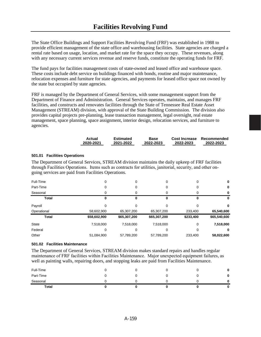The State Office Buildings and Support Facilities Revolving Fund (FRF) was established in 1988 to provide efficient management of the state office and warehousing facilities. State agencies are charged a rental rate based on usage, location, and market rate for the space they occupy. These revenues, along with any necessary current services revenue and reserve funds, constitute the operating funds for FRF.

The fund pays for facilities management costs of state-owned and leased office and warehouse space. These costs include debt service on buildings financed with bonds, routine and major maintenance, relocation expenses and furniture for state agencies, and payments for leased office space not owned by the state but occupied by state agencies.

FRF is managed by the Department of General Services, with some management support from the Department of Finance and Administration. General Services operates, maintains, and manages FRF facilities, and constructs and renovates facilities through the State of Tennessee Real Estate Asset Management (STREAM) division, with approval of the State Building Commission. The division also provides capital projects pre-planning, lease transaction management, legal oversight, real estate management, space planning, space assignment, interior design, relocation services, and furniture to agencies.

| Actual    | Estimated | Base      | Cost Increase | Recommended |
|-----------|-----------|-----------|---------------|-------------|
| 2020-2021 | 2021-2022 | 2022-2023 | 2022-2023     | 2022-2023   |

#### **501.01 Facilities Operations**

The Department of General Services, STREAM division maintains the daily upkeep of FRF facilities through Facilities Operations. Items such as contracts for utilities, janitorial, security, and other ongoing services are paid from Facilities Operations.

| Full-Time    | 0            | 0            | 0            | 0         | 0            |
|--------------|--------------|--------------|--------------|-----------|--------------|
| Part-Time    | 0            | 0            | 0            | 0         | 0            |
| Seasonal     | 0            | Ω            | 0            | Ω         | 0            |
| <b>Total</b> | 0            |              |              | 0         | υ            |
| Payroll      | 0            | ი            | ი            |           | 0            |
| Operational  | 58,602,900   | 65,307,200   | 65,307,200   | 233,400   | 65,540,600   |
| <b>Total</b> | \$58,602,900 | \$65,307,200 | \$65,307,200 | \$233,400 | \$65,540,600 |
| State        | 7,518,000    | 7,518,000    | 7,518,000    | 0         | 7,518,000    |
| Federal      | O            | O            | $\left($     | 0         | 0            |
| Other        | 51,084,900   | 57,789,200   | 57,789,200   | 233.400   | 58,022,600   |

#### **501.02 Facilities Maintenance**

The Department of General Services, STREAM division makes standard repairs and handles regular maintenance of FRF facilities within Facilities Maintenance. Major unexpected equipment failures, as well as painting walls, repairing doors, and stopping leaks are paid from Facilities Maintenance.

| <b>Total</b> |  |  | 0 |
|--------------|--|--|---|
| Seasonal     |  |  | 0 |
| Part-Time    |  |  | 0 |
| Full-Time    |  |  | 0 |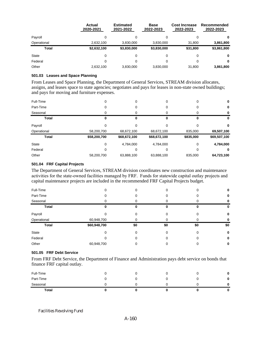|              | Actual<br>2020-2021 | <b>Estimated</b><br>2021-2022 | <b>Base</b><br>2022-2023 | <b>Cost Increase</b><br>2022-2023 | Recommended<br>2022-2023 |
|--------------|---------------------|-------------------------------|--------------------------|-----------------------------------|--------------------------|
| Payroll      | 0                   | 0                             | 0                        | 0                                 | 0                        |
| Operational  | 2,632,100           | 3,830,000                     | 3,830,000                | 31.800                            | 3,861,800                |
| Total        | \$2,632,100         | \$3,830,000                   | \$3,830,000              | \$31,800                          | \$3,861,800              |
| <b>State</b> | 0                   | 0                             | 0                        | 0                                 | 0                        |
| Federal      | 0                   | 0                             | 0                        | 0                                 | 0                        |
| Other        | 2,632,100           | 3.830.000                     | 3,830,000                | 31.800                            | 3,861,800                |

#### **501.03 Leases and Space Planning**

From Leases and Space Planning, the Department of General Services, STREAM division allocates, assigns, and leases space to state agencies; negotiates and pays for leases in non-state owned buildings; and pays for moving and furniture expenses.

| Full-Time    | 0            | 0            |              |           | 0            |
|--------------|--------------|--------------|--------------|-----------|--------------|
| Part-Time    | 0            | 0            | 0            | 0         | 0            |
| Seasonal     |              |              |              | 0         | 0            |
| <b>Total</b> | 0            |              |              | 0         | 0            |
| Payroll      | 0            |              |              |           | 0            |
| Operational  | 58,200,700   | 68,672,100   | 68,672,100   | 835,000   | 69,507,100   |
| <b>Total</b> | \$58,200,700 | \$68,672,100 | \$68,672,100 | \$835,000 | \$69,507,100 |
| State        | 0            | 4,784,000    | 4,784,000    | 0         | 4,784,000    |
| Federal      | 0            |              |              | 0         | 0            |
| Other        | 58,200,700   | 63,888,100   | 63,888,100   | 835,000   | 64,723,100   |

#### **501.04 FRF Capital Projects**

The Department of General Services, STREAM division coordinates new construction and maintenance activities for the state-owned facilities managed by FRF. Funds for statewide capital outlay projects and capital maintenance projects are included in the recommended FRF Capital Projects budget.

| Full-Time    | U            | O   | 0   | 0   | o   |
|--------------|--------------|-----|-----|-----|-----|
| Part-Time    | O            |     |     |     | 0   |
| Seasonal     | υ            | O   | O   | O   | o   |
| <b>Total</b> |              |     |     |     | o   |
| Payroll      |              |     |     |     | 0   |
| Operational  | 60,948,700   |     |     |     | 0   |
| <b>Total</b> | \$60,948,700 | \$0 | \$0 | \$0 | \$0 |
| State        | O            | 0   | ი   | 0   | 0   |
| Federal      | 0            |     |     |     | 0   |
| Other        | 60,948,700   |     |     |     | 0   |

#### **501.05 FRF Debt Service**

From FRF Debt Service, the Department of Finance and Administration pays debt service on bonds that finance FRF capital outlay.

|  |  | 0 |
|--|--|---|
|  |  | 0 |
|  |  | 0 |
|  |  | 0 |
|  |  |   |

Facilities Revolving Fund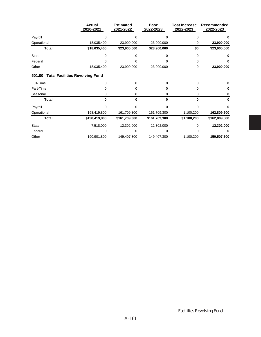|              | <b>Actual</b><br>2020-2021             | <b>Estimated</b><br>2021-2022 | <b>Base</b><br>2022-2023 | <b>Cost Increase</b><br>2022-2023 | Recommended<br>2022-2023 |
|--------------|----------------------------------------|-------------------------------|--------------------------|-----------------------------------|--------------------------|
| Payroll      | 0                                      | 0                             | 0                        | 0                                 |                          |
| Operational  | 18,035,400                             | 23,900,000                    | 23,900,000               | 0                                 | 23,900,000               |
| <b>Total</b> | \$18,035,400                           | \$23,900,000                  | \$23,900,000             | \$0                               | \$23,900,000             |
| <b>State</b> | 0                                      |                               |                          | 0                                 |                          |
| Federal      |                                        |                               |                          | 0                                 |                          |
| Other        | 18,035,400                             | 23,900,000                    | 23,900,000               | 0                                 | 23,900,000               |
| 501.00       | <b>Total Facilities Revolving Fund</b> |                               |                          |                                   |                          |
| Full-Time    | 0                                      | $\Omega$                      | 0                        | 0                                 |                          |
| Part-Time    | 0                                      | 0                             | 0                        | 0                                 |                          |
| Seasonal     | 0                                      | 0                             | 0                        | 0                                 |                          |
| <b>Total</b> | 0                                      | 0                             | n                        | U                                 | n                        |
| Payroll      | ი                                      | U                             | 0                        |                                   |                          |
| Operational  | 198,419,800                            | 161,709,300                   | 161,709,300              | 1,100,200                         | 162,809,500              |
| <b>Total</b> | \$198,419,800                          | \$161,709,300                 | \$161,709,300            | \$1,100,200                       | \$162,809,500            |
| <b>State</b> | 7,518,000                              | 12,302,000                    | 12,302,000               | 0                                 | 12,302,000               |
| Federal      | 0                                      | 0                             |                          |                                   |                          |
| Other        | 190,901,800                            | 149,407,300                   | 149,407,300              | 1,100,200                         | 150,507,500              |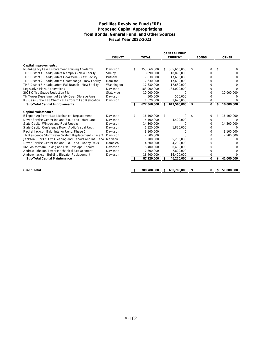#### **Facilities Revolving Fund (FRF) Proposed Capital Appropriations from Bonds, General Fund, and Other Sources Fiscal Year 2022-2023**

|                                                          |               |    |              |     | <b>GENERAL FUND</b> |              |                  |
|----------------------------------------------------------|---------------|----|--------------|-----|---------------------|--------------|------------------|
|                                                          | <b>COUNTY</b> |    | <b>TOTAL</b> |     | <b>CURRENT</b>      | <b>BONDS</b> | <b>OTHER</b>     |
| <b>Capital Improvements:</b>                             |               |    |              |     |                     |              |                  |
| Multi-Agency Law Enforcement Training Academy            | Davidson      | \$ | 355,660,000  | \$. | 355,660,000         | \$<br>0      | \$<br>0          |
| THP District 4 Headquarters Memphis - New Facility       | Shelby        |    | 18.890.000   |     | 18.890.000          |              |                  |
| THP District 6 Headquarters Cookeville - New Facility    | Putnam        |    | 17,630,000   |     | 17,630,000          |              |                  |
| THP District 2 Headquarters Chattanooga - New Facility   | Hamilton      |    | 17,630,000   |     | 17,630,000          |              | 0                |
| THP District 5 Headquarters Fall Branch - New Facility   | Washington    |    | 17,630,000   |     | 17,630,000          | n            | n                |
| Legislative Plaza Renovations                            | Davidson      |    | 183,000,000  |     | 183,000,000         |              |                  |
| 2023 Office Space Reduction Plan                         | Statewide     |    | 10.000.000   |     |                     | 0            | 10,000,000       |
| TN Tower Department of Safety Open Storage Area          | Davidson      |    | 500,000      |     | 500.000             |              |                  |
| RS Gass State Lab Chemical Terrorism Lab Relocation      | Davidson      |    | 1,620,000    |     | 1.620.000           |              |                  |
| <b>Sub-Total Capital Improvements</b>                    |               |    | 622,560,000  |     | 612,560,000         | \$<br>0      | \$<br>10,000,000 |
| <b>Capital Maintenance:</b>                              |               |    |              |     |                     |              |                  |
| Ellington Ag Porter Lab Mechanical Replacement           | Davidson      | \$ | 16,100,000   | S.  |                     | 0            | \$<br>16,100,000 |
| Driver Service Center Int. and Ext. Reno - Hart Lane     | Davidson      |    | 4.400.000    |     | 4,400,000           | 0            |                  |
| State Capitol Window and Roof Repairs                    | Davidson      |    | 14.300.000   |     | U                   | 0            | 14,300,000       |
| State Capitol Conference Room Audio-Visual Repl.         | Davidson      |    | 1,820,000    |     | 1,820,000           | 0            |                  |
| Rachel Jackson Bldg. Interior Reno. Phase 1              | Davidson      |    | 8.100.000    |     |                     | 0            | 8.100.000        |
| TN Residence Stormwater System Replacement Phase 2       | Davidson      |    | 2.500.000    |     |                     | 0            | 2,500,000        |
| Jackson Supr Ct. Ext. Cleaning and Repairs and Int. Reno | Madison       |    | 5,200,000    |     | 5,200,000           | 0            |                  |
| Driver Service Center Int. and Ext. Reno - Bonny Oaks    | Hamblen       |    | 4,200,000    |     | 4.200.000           |              |                  |
| 665 Mainstream Paving and Ext. Envelope Repairs          | Davidson      |    | 6,400,000    |     | 6,400,000           |              |                  |
| Andrew Johnson Tower Mechanical Replacement              | Davidson      |    | 7,800,000    |     | 7,800,000           | 0            |                  |
| Andrew Jackson Building Elevator Replacement             | Davidson      |    | 16,400,000   |     | 16,400,000          |              |                  |
| <b>Sub-Total Capital Maintenance</b>                     |               |    | 87,220,000   |     | 46,220,000          | \$<br>0      | \$<br>41,000,000 |
|                                                          |               |    |              |     |                     |              |                  |
| <b>Grand Total</b>                                       |               | S  | 709,780,000  | \$  | 658,780,000         | 0            | \$<br>51,000,000 |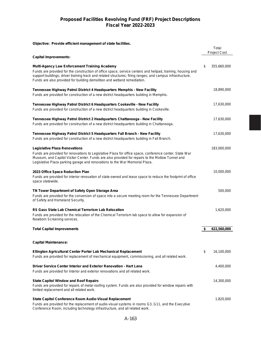# **Proposed Facilities Revolving Fund (FRF) Project Descriptions Fiscal Year 2022-2023**

#### **Objective: Provide efficient management of state facilities.**

|                                                                                                                                                                                                                                                                                                                                                               | Total<br><b>Project Cost</b> |
|---------------------------------------------------------------------------------------------------------------------------------------------------------------------------------------------------------------------------------------------------------------------------------------------------------------------------------------------------------------|------------------------------|
| <b>Capital Improvements:</b>                                                                                                                                                                                                                                                                                                                                  |                              |
| <b>Multi-Agency Law Enforcement Training Academy</b><br>Funds are provided for the construction of office space, service centers and helipad, training, housing and<br>support buildings; driver training track and related structures; firing ranges; and campus infrastructure.<br>Funds are also provided for building demolition and wetland remediation. | \$<br>355,660,000            |
| Tennessee Highway Patrol District 4 Headquarters Memphis - New Facility                                                                                                                                                                                                                                                                                       | 18,890,000                   |
| Funds are provided for construction of a new district headquarters building in Memphis.                                                                                                                                                                                                                                                                       |                              |
| Tennessee Highway Patrol District 6 Headquarters Cookeville - New Facility<br>Funds are provided for construction of a new district headquarters building in Cookeville.                                                                                                                                                                                      | 17,630,000                   |
| Tennessee Highway Patrol District 2 Headquarters Chattanooga - New Facility<br>Funds are provided for construction of a new district headquarters building in Chattanooga.                                                                                                                                                                                    | 17,630,000                   |
| Tennessee Highway Patrol District 5 Headquarters Fall Branch - New Facility<br>Funds are provided for construction of a new district headquarters building in Fall Branch.                                                                                                                                                                                    | 17,630,000                   |
| <b>Legislative Plaza Renovations</b><br>Funds are provided for renovations to Legislative Plaza for office space, conference center, State War<br>Museum, and Capitol Visitor Center. Funds are also provided for repairs to the Motlow Tunnel and<br>Legislative Plaza parking garage and renovations to the War Memorial Plaza.                             | 183,000,000                  |
| 2023 Office Space Reduction Plan<br>Funds are provided for interior renovation of state-owned and lease space to reduce the footprint of office<br>space statewide.                                                                                                                                                                                           | 10,000,000                   |
| TN Tower Department of Safety Open Storage Area<br>Funds are provided for the conversion of space into a secure meeting room for the Tennessee Department<br>of Safety and Homeland Security.                                                                                                                                                                 | 500,000                      |
| <b>RS Gass State Lab Chemical Terrorism Lab Relocation</b><br>Funds are provided for the relocation of the Chemical Terrorism lab space to allow for expansion of<br>Newborn Screening services.                                                                                                                                                              | 1,620,000                    |
| <b>Total Capital Improvements</b>                                                                                                                                                                                                                                                                                                                             | \$<br>622,560,000            |
| <b>Capital Maintenance:</b>                                                                                                                                                                                                                                                                                                                                   |                              |
| Ellington Agricultural Center Porter Lab Mechanical Replacement<br>Funds are provided for replacement of mechanical equipment, commissioning, and all related work.                                                                                                                                                                                           | \$<br>16,100,000             |
| Driver Service Center Interior and Exterior Renovation - Hart Lane<br>Funds are provided for interior and exterior renovations and all related work.                                                                                                                                                                                                          | 4,400,000                    |
| <b>State Capitol Window and Roof Repairs</b><br>Funds are provided for repairs of metal roofing system. Funds are also provided for window repairs with<br>limited replacement and all related work.                                                                                                                                                          | 14,300,000                   |
| State Capitol Conference Room Audio-Visual Replacement<br>Funds are provided for the replacement of audio-visual systems in rooms G3, G11, and the Executive<br>Conference Room, including technology infrastructure, and all related work.                                                                                                                   | 1,820,000                    |